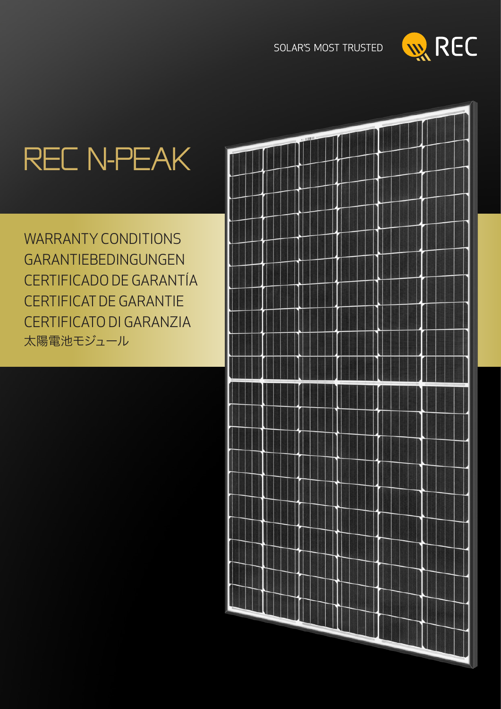

# rec N-Peak

WARRANTY CONDITIONS **GARANTIEBEDINGUNGEN** Certificado de garantía Certificat de Garantie Certificato di garanzia 太陽電池モジュール

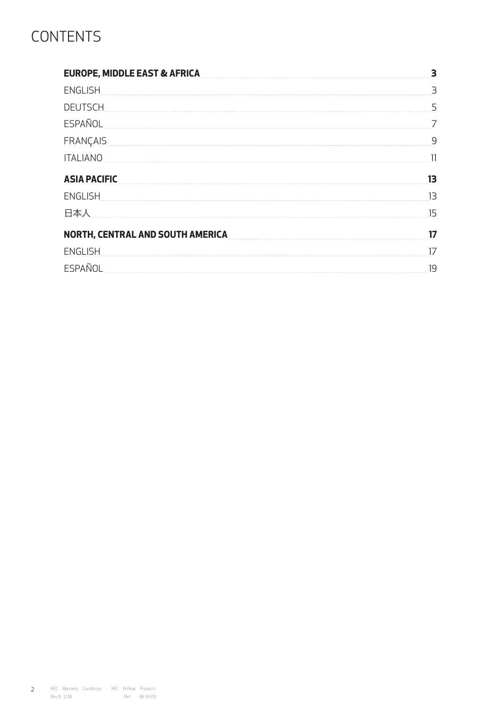# **CONTENTS**

| <b>EUROPE, MIDDLE EAST &amp; AFRICA</b> |    |
|-----------------------------------------|----|
| <b>ENGLISH</b>                          | 3  |
| <b>DEUTSCH</b>                          | 5  |
| <b>ESPAÑOL</b>                          |    |
| FRANÇAIS                                | q  |
| <b>ITALIANO</b>                         |    |
| <b>ASIA PACIFIC</b>                     | 13 |
| <b>ENGLISH</b>                          | 13 |
| 日本人                                     | 15 |
| <b>NORTH, CENTRAL AND SOUTH AMERICA</b> | 17 |
|                                         |    |
| <b>ENGLISH</b>                          | 17 |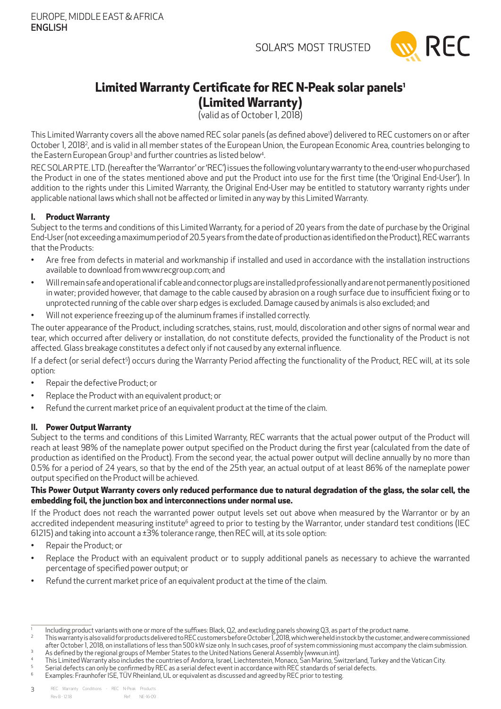

# <span id="page-2-0"></span>**Limited Warranty Certificate for REC N-Peak solar panels1**

**(Limited Warranty)**

(valid as of October 1, 2018)

This Limited Warranty covers all the above named REC solar panels (as defined above') delivered to REC customers on or after October 1, 2018<sup>2</sup>, and is valid in all member states of the European Union, the European Economic Area, countries belonging to the Eastern European Group<sup>3</sup> and further countries as listed below<sup>4</sup> .

REC SOLARPTE. LTD . (hereafter the 'Warrantor' or 'REC') issues the following voluntary warranty to the end-user who purchased the Product in one of the states mentioned above and put the Product into use for the first time (the 'Original End-User'). In addition to the rights under this Limited Warranty, the Original End-User may be entitled to statutory warranty rights under applicable national laws which shall not be affected or limited in any way by this Limited Warranty.

### **I. Product Warranty**

Subject to the terms and conditions of this Limited Warranty, for a period of 20 years from the date of purchase by the Original End-User (not exceeding a maximum period of 20.5 years from the date of production as identified on the Product), REC warrants that the Products:

- Are free from defects in material and workmanship if installed and used in accordance with the installation instructions available to download from www.recgroup.com; and
- Will remain safe and operational if cable and connector plugs are installed professionally and are not permanently positioned in water; provided however, that damage to the cable caused by abrasion on a rough surface due to insufficient fixing or to unprotected running of the cable over sharp edges is excluded. Damage caused by animals is also excluded; and
- Will not experience freezing up of the aluminum frames if installed correctly.

The outer appearance of the Product, including scratches, stains, rust, mould, discoloration and other signs of normal wear and tear, which occurred after delivery or installation, do not constitute defects, provided the functionality of the Product is not affected. Glass breakage constitutes a defect only if not caused by any external influence.

If a defect (or serial defect<sup>5</sup>) occurs during the Warranty Period affecting the functionality of the Product, REC will, at its sole option:

- Repair the defective Product; or
- Replace the Product with an equivalent product; or
- Refund the current market price of an equivalent product at the time of the claim.

### **II. Power Output Warranty**

Subject to the terms and conditions of this Limited Warranty, REC warrants that the actual power output of the Product will reach at least 98% of the nameplate power output specified on the Product during the first year (calculated from the date of production as identified on the Product). From the second year, the actual power output will decline annually by no more than 0.5% for a period of 24 years, so that by the end of the 25th year, an actual output of at least 86% of the nameplate power output specified on the Product will be achieved.

### **This Power Output Warranty covers only reduced performance due to natural degradation of the glass, the solar cell, the embedding foil, the junction box and interconnections under normal use.**

If the Product does not reach the warranted power output levels set out above when measured by the Warrantor or by an accredited independent measuring institute<sup>6</sup> agreed to prior to testing by the Warrantor, under standard test conditions (IEC 61215) and taking into account a  $\pm$ 3% tolerance range, then REC will, at its sole option:

- Repair the Product; or
- Replace the Product with an equivalent product or to supply additional panels as necessary to achieve the warranted percentage of specified power output; or
- Refund the current market price of an equivalent product at the time of the claim.

2 This warranty is also valid for products delivered to REC customers before October 1, 2018, which were held in stock by the customer, and were commissioned after October 1, 2018, on installations of less than 500 kW size only. In such cases, proof of system commissioning must accompany the claim submission. 3 As defined by the regional groups of Member States to the United Nations General Assembly (www.un.int).

<sup>1</sup> Including product variants with one or more of the suffixes: Black, Q2, and excluding panels showing Q3, as part of the product name.

<sup>4</sup> This Limited Warranty also includes the countries of Andorra, Israel, Liechtenstein, Monaco, San Marino, Switzerland, Turkey and the Vatican City.

<sup>5</sup> Serial defects can only be confirmed by REC as a serial defect event in accordance with REC standards of serial defects. 6

Examples: Fraunhofer ISE, TÜVRheinland, UL or equivalent as discussed and agreed by REC prior to testing.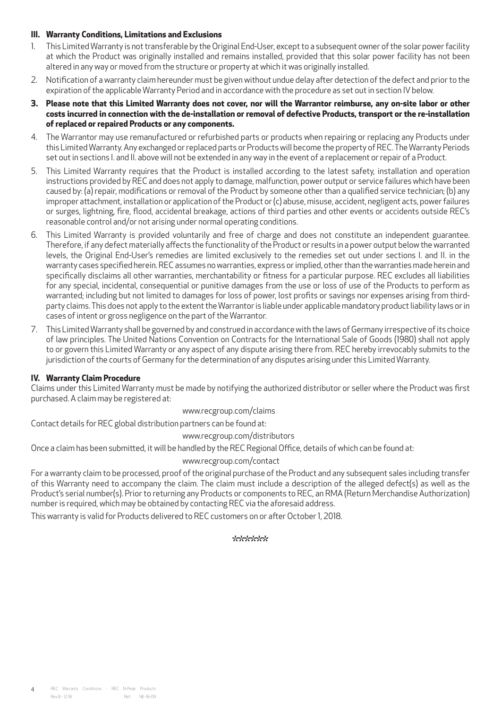### **III. Warranty Conditions, Limitations and Exclusions**

- 1. This Limited Warranty is not transferable by the Original End-User, except to a subsequent owner of the solar power facility at which the Product was originally installed and remains installed, provided that this solar power facility has not been altered in any way or moved from the structure or property at which it was originally installed.
- 2. Notification of a warranty claim hereunder must be given without undue delay after detection of the defect and prior to the expiration of the applicable Warranty Period and in accordance with the procedure as set out in section IV below.
- **3. Please note that this Limited Warranty does not cover, nor will the Warrantor reimburse, any on-site labor or other costs incurred in connection with the de-installation or removal of defective Products, transport or the re-installation of replaced or repaired Products or any components.**
- 4. The Warrantor may use remanufactured or refurbished parts or products when repairing or replacing any Products under this Limited Warranty. Any exchanged or replaced parts or Products will become the property of REC. The Warranty Periods set out in sections I. and II. above will not be extended in any way in the event of a replacement or repair of a Product.
- 5. This Limited Warranty requires that the Product is installed according to the latest safety, installation and operation instructions provided by REC and does not apply to damage, malfunction, power output or service failures which have been caused by: (a) repair, modifications or removal of the Product by someone other than a qualified service technician; (b) any improper attachment, installation or application of the Product or (c) abuse, misuse, accident, negligent acts, power failures or surges, lightning, fire, flood, accidental breakage, actions of third parties and other events or accidents outside REC's reasonable control and/or not arising under normal operating conditions.
- 6. This Limited Warranty is provided voluntarily and free of charge and does not constitute an independent guarantee. Therefore, if any defect materially affects the functionality of the Product or results in a power output below the warranted levels, the Original End-User's remedies are limited exclusively to the remedies set out under sections I. and II. in the warranty cases specified herein. REC assumes no warranties, express or implied, other than the warranties made herein and specifically disclaims all other warranties, merchantability or fitness for a particular purpose. REC excludes all liabilities for any special, incidental, consequential or punitive damages from the use or loss of use of the Products to perform as warranted; including but not limited to damages for loss of power, lost profits or savings nor expenses arising from thirdparty claims. This does not apply to the extent the Warrantor is liable under applicable mandatory product liability laws or in cases of intent or gross negligence on the part of the Warrantor.
- 7. This Limited Warranty shall be governed by and construed in accordance with the laws of Germany irrespective of its choice of law principles. The United Nations Convention on Contracts for the International Sale of Goods (1980) shall not apply to or govern this Limited Warranty or any aspect of any dispute arising there from. REC hereby irrevocably submits to the jurisdiction of the courts of Germany for the determination of any disputes arising under this Limited Warranty.

### **IV. Warranty Claim Procedure**

Claims under this Limited Warranty must be made by notifying the authorized distributor or seller where the Product was first purchased. A claim may be registered at:

www.recgroup.com/claims

Contact details for REC global distribution partners can be found at:

www.recgroup.com/distributors

Once a claim has been submitted, it will be handled by the REC Regional Office, details of which can be found at:

### www.recgroup.com/contact

For a warranty claim to be processed, proof of the original purchase of the Product and any subsequent sales including transfer of this Warranty need to accompany the claim. The claim must include a description of the alleged defect(s) as well as the Product's serial number(s). Prior to returning any Products or components to REC, an RMA (Return Merchandise Authorization) number is required, which may be obtained by contacting REC via the aforesaid address.

This warranty is valid for Products delivered to REC customers on or after October 1, 2018.

\*\*\*\*\*\*\*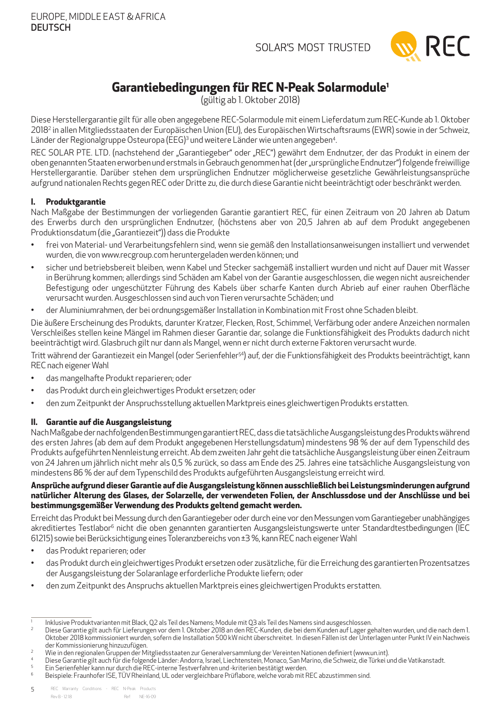

# **Garantiebedingungen für REC N-Peak Solarmodule1**

(gültig ab 1. Oktober 2018)

<span id="page-4-0"></span>Diese Herstellergarantie gilt für alle oben angegebene REC-Solarmodule mit einem Lieferdatum zum REC-Kunde ab 1. Oktober 20182 in allen Mitgliedsstaaten der Europäischen Union (EU), des Europäischen Wirtschaftsraums (EWR) sowie in der Schweiz, Länder der Regionalgruppe Osteuropa (EEG)<sup>3</sup> und weitere Länder wie unten angegeben<sup>4</sup> .

REC SOLAR PTE. LTD. (nachstehend der "Garantiegeber" oder "REC") gewährt dem Endnutzer, der das Produkt in einem der oben genannten Staaten erworben und erstmals in Gebrauch genommen hat (der "ursprüngliche Endnutzer") folgende freiwillige Herstellergarantie. Darüber stehen dem ursprünglichen Endnutzer möglicherweise gesetzliche Gewährleistungsansprüche aufgrund nationalen Rechts gegen REC oder Dritte zu, die durch diese Garantie nicht beeinträchtigt oder beschränkt werden.

### **I. Produktgarantie**

Nach Maßgabe der Bestimmungen der vorliegenden Garantie garantiert REC, für einen Zeitraum von 20 Jahren ab Datum des Erwerbs durch den ursprünglichen Endnutzer, (höchstens aber von 20,5 Jahren ab auf dem Produkt angegebenen Produktionsdatum (die "Garantiezeit")) dass die Produkte

- frei von Material- und Verarbeitungsfehlern sind, wenn sie gemäß den Installationsanweisungen installiert und verwendet wurden, die von www.recgroup.com heruntergeladen werden können; und
- sicher und betriebsbereit bleiben, wenn Kabel und Stecker sachgemäß installiert wurden und nicht auf Dauer mit Wasser in Berührung kommen; allerdings sind Schäden am Kabel von der Garantie ausgeschlossen, die wegen nicht ausreichender Befestigung oder ungeschützter Führung des Kabels über scharfe Kanten durch Abrieb auf einer rauhen Oberfläche verursacht wurden. Ausgeschlossen sind auch von Tieren verursachte Schäden; und
- der Aluminiumrahmen, der bei ordnungsgemäßer Installation in Kombination mit Frost ohne Schaden bleibt.

Die äußere Erscheinung des Produkts, darunter Kratzer, Flecken, Rost, Schimmel, Verfärbung oder andere Anzeichen normalen Verschleißes stellen keine Mängel im Rahmen dieser Garantie dar, solange die Funktionsfähigkeit des Produkts dadurch nicht beeinträchtigt wird. Glasbruch gilt nur dann als Mangel, wenn er nicht durch externe Faktoren verursacht wurde.

Tritt während der Garantiezeit ein Mangel (oder Serienfehler<sup>54</sup>) auf, der die Funktionsfähigkeit des Produkts beeinträchtigt, kann REC nach eigener Wahl

- das mangelhafte Produkt reparieren; oder
- das Produkt durch ein gleichwertiges Produkt ersetzen; oder
- den zum Zeitpunkt der Anspruchsstellung aktuellen Marktpreis eines gleichwertigen Produkts erstatten.

### **II. Garantie auf die Ausgangsleistung**

Nach Maßgabe der nachfolgenden Bestimmungen garantiert REC, dass die tatsächliche Ausgangsleistung des Produkts während des ersten Jahres (ab dem auf dem Produkt angegebenen Herstellungsdatum) mindestens 98 % der auf dem Typenschild des Produkts aufgeführten Nennleistung erreicht. Ab dem zweiten Jahr geht die tatsächliche Ausgangsleistung über einen Zeitraum von 24 Jahren um jährlich nicht mehr als 0,5 % zurück, so dass am Ende des 25. Jahres eine tatsächliche Ausgangsleistung von mindestens 86 % der auf dem Typenschild des Produkts aufgeführten Ausgangsleistung erreicht wird.

### **Ansprüche aufgrund dieser Garantie auf die Ausgangsleistung können ausschließlich bei Leistungsminderungen aufgrund natürlicher Alterung des Glases, der Solarzelle, der verwendeten Folien, der Anschlussdose und der Anschlüsse und bei bestimmungsgemäßer Verwendung des Produkts geltend gemacht werden.**

Erreicht das Produkt bei Messung durch den Garantiegeber oder durch eine vor den Messungen vom Garantiegeber unabhängiges akreditiertes Testlabor<sup>6</sup> nicht die oben genannten garantierten Ausgangsleistungswerte unter Standardtestbedingungen (IEC 61215) sowie bei Berücksichtigung eines Toleranzbereichs von ±3 %, kann REC nach eigener Wahl

- das Produkt reparieren; oder
- das Produkt durch ein gleichwertiges Produkt ersetzen oder zusätzliche, für die Erreichung des garantierten Prozentsatzes der Ausgangsleistung der Solaranlage erforderliche Produkte liefern; oder
- den zum Zeitpunkt des Anspruchs aktuellen Marktpreis eines gleichwertigen Produkts erstatten.

<sup>1</sup> Inklusive Produktvarianten mit Black, Q2 als Teil des Namens; Module mit Q3 als Teil des Namens sind ausgeschlossen.

<sup>2</sup> Diese Garantie gilt auch für Lieferungen vor dem 1. Oktober 2018 an den REC-Kunden, die bei dem Kunden auf Lager gehalten wurden, und die nach dem 1. Oktober 2018 kommissioniert wurden, sofern die Installation 500 kW nicht überschreitet. In diesen Fällen ist der Unterlagen unter Punkt IV ein Nachweis der Kommissionierung hinzuzufügen.

<sup>2</sup> Wie in den regionalen Gruppen der Mitgliedsstaaten zur Generalversammlung der Vereinten Nationen definiert (www.un.int).

<sup>4</sup> Diese Garantie gilt auch für die folgende Länder: Andorra, Israel, Liechtenstein, Monaco, San Marino, die Schweiz, die Türkei und die Vatikanstadt. 5

Ein Serienfehler kann nur durch die REC-interne Testverfahren und -kriterien bestätigt werden.

<sup>6</sup> Beispiele: Fraunhofer ISE, TÜVRheinland, UL oder vergleichbare Prüflabore, welche vorab mit REC abzustimmen sind.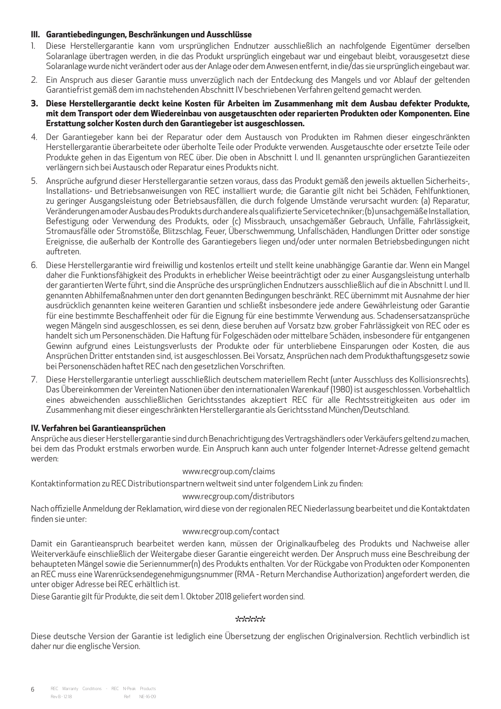### **III. Garantiebedingungen, Beschränkungen und Ausschlüsse**

- 1. Diese Herstellergarantie kann vom ursprünglichen Endnutzer ausschließlich an nachfolgende Eigentümer derselben Solaranlage übertragen werden, in die das Produkt ursprünglich eingebaut war und eingebaut bleibt, vorausgesetzt diese Solaranlage wurde nicht verändert oder aus der Anlage oder dem Anwesen entfernt, in die/das sie ursprünglich eingebaut war.
- 2. Ein Anspruch aus dieser Garantie muss unverzüglich nach der Entdeckung des Mangels und vor Ablauf der geltenden Garantiefrist gemäß dem im nachstehenden Abschnitt IV beschriebenen Verfahren geltend gemacht werden.
- **3. Diese Herstellergarantie deckt keine Kosten für Arbeiten im Zusammenhang mit dem Ausbau defekter Produkte, mit dem Transport oder dem Wiedereinbau von ausgetauschten oder reparierten Produkten oder Komponenten. Eine Erstattung solcher Kosten durch den Garantiegeber ist ausgeschlossen.**
- 4. Der Garantiegeber kann bei der Reparatur oder dem Austausch von Produkten im Rahmen dieser eingeschränkten Herstellergarantie überarbeitete oder überholte Teile oder Produkte verwenden. Ausgetauschte oder ersetzte Teile oder Produkte gehen in das Eigentum von REC über. Die oben in Abschnitt I. und II. genannten ursprünglichen Garantiezeiten verlängern sich bei Austausch oder Reparatur eines Produkts nicht.
- 5. Ansprüche aufgrund dieser Herstellergarantie setzen voraus, dass das Produkt gemäß den jeweils aktuellen Sicherheits-, Installations- und Betriebsanweisungen von REC installiert wurde; die Garantie gilt nicht bei Schäden, Fehlfunktionen, zu geringer Ausgangsleistung oder Betriebsausfällen, die durch folgende Umstände verursacht wurden: (a) Reparatur, Veränderungen am oder Ausbau des Produkts durch andere als qualifizierte Servicetechniker; (b) unsachgemäße Installation, Befestigung oder Verwendung des Produkts, oder (c) Missbrauch, unsachgemäßer Gebrauch, Unfälle, Fahrlässigkeit, Stromausfälle oder Stromstöße, Blitzschlag, Feuer, Überschwemmung, Unfallschäden, Handlungen Dritter oder sonstige Ereignisse, die außerhalb der Kontrolle des Garantiegebers liegen und/oder unter normalen Betriebsbedingungen nicht auftreten.
- 6. Diese Herstellergarantie wird freiwillig und kostenlos erteilt und stellt keine unabhängige Garantie dar. Wenn ein Mangel daher die Funktionsfähigkeit des Produkts in erheblicher Weise beeinträchtigt oder zu einer Ausgangsleistung unterhalb der garantierten Werte führt, sind die Ansprüche des ursprünglichen Endnutzers ausschließlich auf die in Abschnitt I. und II. genannten Abhilfemaßnahmen unter den dort genannten Bedingungen beschränkt. REC übernimmt mit Ausnahme der hier ausdrücklich genannten keine weiteren Garantien und schließt insbesondere jede andere Gewährleistung oder Garantie für eine bestimmte Beschaffenheit oder für die Eignung für eine bestimmte Verwendung aus. Schadensersatzansprüche wegen Mängeln sind ausgeschlossen, es sei denn, diese beruhen auf Vorsatz bzw. grober Fahrlässigkeit von REC oder es handelt sich um Personenschäden. Die Haftung für Folgeschäden oder mittelbare Schäden, insbesondere für entgangenen Gewinn aufgrund eines Leistungsverlusts der Produkte oder für unterbliebene Einsparungen oder Kosten, die aus Ansprüchen Dritter entstanden sind, ist ausgeschlossen. Bei Vorsatz, Ansprüchen nach dem Produkthaftungsgesetz sowie bei Personenschäden haftet REC nach den gesetzlichen Vorschriften.
- 7. Diese Herstellergarantie unterliegt ausschließlich deutschem materiellem Recht (unter Ausschluss des Kollisionsrechts). Das Übereinkommen der Vereinten Nationen über den internationalen Warenkauf (1980) ist ausgeschlossen. Vorbehaltlich eines abweichenden ausschließlichen Gerichtsstandes akzeptiert REC für alle Rechtsstreitigkeiten aus oder im Zusammenhang mit dieser eingeschränkten Herstellergarantie als Gerichtsstand München/Deutschland.

### **IV. Verfahren bei Garantieansprüchen**

Ansprüche aus dieser Herstellergarantie sind durch Benachrichtigung des Vertragshändlers oder Verkäufers geltend zu machen, bei dem das Produkt erstmals erworben wurde. Ein Anspruch kann auch unter folgender Internet-Adresse geltend gemacht werden:

www.recgroup.com/claims

Kontaktinformation zu REC Distributionspartnern weltweit sind unter folgendem Link zu finden:

### www.recgroup.com/distributors

Nach offizielle Anmeldung der Reklamation, wird diese von der regionalen REC Niederlassung bearbeitet und die Kontaktdaten finden sie unter:

### www.recgroup.com/contact

Damit ein Garantieanspruch bearbeitet werden kann, müssen der Originalkaufbeleg des Produkts und Nachweise aller Weiterverkäufe einschließlich der Weitergabe dieser Garantie eingereicht werden. Der Anspruch muss eine Beschreibung der behaupteten Mängel sowie die Seriennummer(n) des Produkts enthalten. Vor der Rückgabe von Produkten oder Komponenten an REC muss eine Warenrücksendegenehmigungsnummer (RMA - Return Merchandise Authorization) angefordert werden, die unter obiger Adresse bei REC erhältlich ist.

Diese Garantie gilt für Produkte, die seit dem 1. Oktober 2018 geliefert worden sind.

### \*\*\*\*\*\*\*

Diese deutsche Version der Garantie ist lediglich eine Übersetzung der englischen Originalversion. Rechtlich verbindlich ist daher nur die englische Version.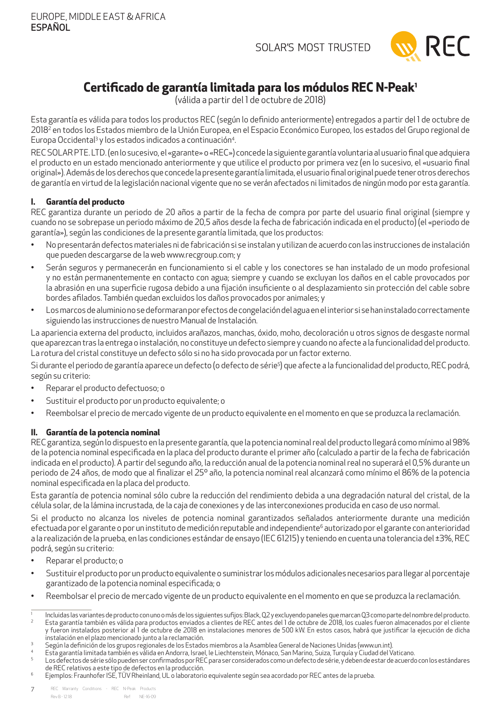

## <span id="page-6-0"></span>**Certificado de garantía limitada para los módulos REC N-Peak1**

(válida a partir del 1 de octubre de 2018)

Esta garantía es válida para todos los productos REC (según lo definido anteriormente) entregados a partir del 1 de octubre de 2018<sup>2</sup> en todos los Estados miembro de la Unión Europea, en el Espacio Económico Europeo, los estados del Grupo regional de Europa Occidental<sup>3</sup> y los estados indicados a continuación<sup>4</sup> .

REC SOLARPTE. LTD . (en lo sucesivo, el «garante» o «REC») concede la siguiente garantía voluntaria al usuario final que adquiera el producto en un estado mencionado anteriormente y que utilice el producto por primera vez (en lo sucesivo, el «usuario final original»). Además de los derechos que concede la presente garantía limitada, el usuario final original puede tener otros derechos de garantía en virtud de la legislación nacional vigente que no se verán afectados ni limitados de ningún modo por esta garantía.

### **I. Garantía del producto**

REC garantiza durante un periodo de 20 años a partir de la fecha de compra por parte del usuario final original (siempre y cuando no se sobrepase un periodo máximo de 20,5 años desde la fecha de fabricación indicada en el producto) (el «periodo de garantía»), según las condiciones de la presente garantía limitada, que los productos:

- No presentarán defectos materiales ni de fabricación si se instalan y utilizan de acuerdo con las instrucciones de instalación que pueden descargarse de la web www.recgroup.com; y
- Serán seguros y permanecerán en funcionamiento si el cable y los conectores se han instalado de un modo profesional y no están permanentemente en contacto con agua; siempre y cuando se excluyan los daños en el cable provocados por la abrasión en una superficie rugosa debido a una fijación insuficiente o al desplazamiento sin protección del cable sobre bordes afilados. También quedan excluidos los daños provocados por animales; y
- Los marcos de aluminio no se deformaran por efectos de congelación del agua en el interior si se han instalado correctamente siguiendo las instrucciones de nuestro Manual de Instalación.

La apariencia externa del producto, incluidos arañazos, manchas, óxido, moho, decoloración u otros signos de desgaste normal que aparezcan tras la entrega o instalación, no constituye un defecto siempre y cuando no afecte a la funcionalidad del producto. La rotura del cristal constituye un defecto sólo si no ha sido provocada por un factor externo.

Si durante el periodo de garantía aparece un defecto (o defecto de série<sup>5</sup>) que afecte a la funcionalidad del producto, REC podrá, según su criterio:

- Reparar el producto defectuoso; o
- Sustituir el producto por un producto equivalente; o
- Reembolsar el precio de mercado vigente de un producto equivalente en el momento en que se produzca la reclamación.

### **II. Garantía de la potencia nominal**

REC garantiza, según lo dispuesto en la presente garantía, que la potencia nominal real del producto llegará como mínimo al 98% de la potencia nominal especificada en la placa del producto durante el primer año (calculado a partir de la fecha de fabricación indicada en el producto). A partir del segundo año, la reducción anual de la potencia nominal real no superará el 0,5% durante un periodo de 24 años, de modo que al finalizar el 25º año, la potencia nominal real alcanzará como mínimo el 86% de la potencia nominal especificada en la placa del producto.

Esta garantía de potencia nominal sólo cubre la reducción del rendimiento debida a una degradación natural del cristal, de la célula solar, de la lámina incrustada, de la caja de conexiones y de las interconexiones producida en caso de uso normal.

Si el producto no alcanza los niveles de potencia nominal garantizados señalados anteriormente durante una medición efectuada por el garante o por un instituto de medición reputable and independiente<sup>6</sup> autorizado por el garante con anterioridad a la realización de la prueba, en las condiciones estándar de ensayo (IEC 61215) y teniendo en cuenta una tolerancia del ±3%, REC podrá, según su criterio:

- Reparar el producto; o
- Sustituir el producto por un producto equivalente o suministrar los módulos adicionales necesarios para llegar al porcentaje garantizado de la potencia nominal especificada; o
- Reembolsar el precio de mercado vigente de un producto equivalente en el momento en que se produzca la reclamación.

<sup>1</sup> Incluidas las variantes de producto con uno o más de los siguientes sufijos: Black, Q2 y excluyendo paneles que marcan Q3 como parte del nombre del producto. 2 Esta garantía también es válida para productos enviados a clientes de REC antes del 1 de octubre de 2018, los cuales fueron almacenados por el cliente y fueron instalados posterior al 1 de octubre de 2018 en instalaciones menores de 500 kW. En estos casos, habrá que justificar la ejecución de dicha instalación en el plazo mencionado junto a la reclamación.

 $\overline{3}$ Según la definición de los grupos regionales de los Estados miembros a la Asamblea General de Naciones Unidas (www.un.int).

<sup>4</sup> Esta garantía limitada también es válida en Andorra, Israel, le Liechtenstein, Mónaco, San Marino, Suiza, Turquía y Ciudad del Vaticano.

<sup>5</sup> Los defectos de série sólo pueden ser confirmados por REC para ser considerados como un defecto de série, y deben de estar de acuerdo con los estándares de REC relativos a este tipo de defectos en la producción.

<sup>6</sup> Ejemplos: Fraunhofer ISE, TÜVRheinland, UL o laboratorio equivalente según sea acordado por REC antes de la prueba.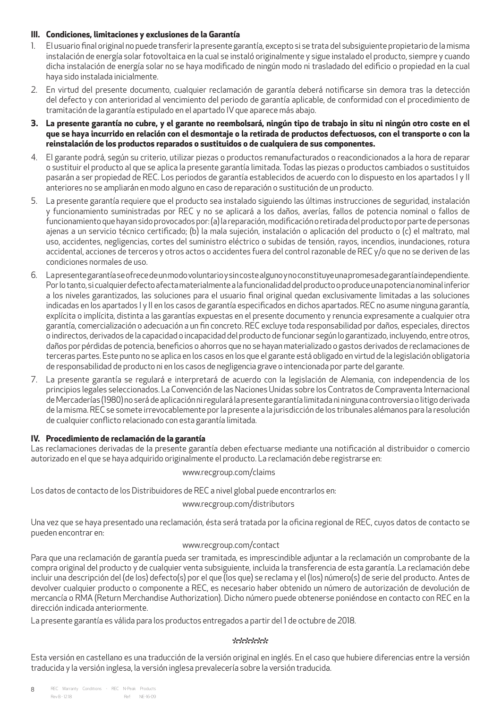### **III. Condiciones, limitaciones y exclusiones de la Garantía**

- 1. El usuario final original no puede transferir la presente garantía, excepto si se trata del subsiguiente propietario de la misma instalación de energía solar fotovoltaica en la cual se instaló originalmente y sigue instalado el producto, siempre y cuando dicha instalación de energía solar no se haya modificado de ningún modo ni trasladado del edificio o propiedad en la cual haya sido instalada inicialmente.
- 2. En virtud del presente documento, cualquier reclamación de garantía deberá notificarse sin demora tras la detección del defecto y con anterioridad al vencimiento del periodo de garantía aplicable, de conformidad con el procedimiento de tramitación de la garantía estipulado en el apartado IV que aparece más abajo.
- **3. La presente garantía no cubre, y el garante no reembolsará, ningún tipo de trabajo in situ ni ningún otro coste en el que se haya incurrido en relación con el desmontaje o la retirada de productos defectuosos, con el transporte o con la reinstalación de los productos reparados o sustituidos o de cualquiera de sus componentes.**
- 4. El garante podrá, según su criterio, utilizar piezas o productos remanufacturados o reacondicionados a la hora de reparar o sustituir el producto al que se aplica la presente garantía limitada. Todas las piezas o productos cambiados o sustituidos pasarán a ser propiedad de REC. Los periodos de garantía establecidos de acuerdo con lo dispuesto en los apartados I y II anteriores no se ampliarán en modo alguno en caso de reparación o sustitución de un producto.
- 5. La presente garantía requiere que el producto sea instalado siguiendo las últimas instrucciones de seguridad, instalación y funcionamiento suministradas por REC y no se aplicará a los daños, averías, fallos de potencia nominal o fallos de funcionamiento que hayan sido provocados por: (a) la reparación, modificación o retirada del producto por parte de personas ajenas a un servicio técnico certificado; (b) la mala sujeción, instalación o aplicación del producto o (c) el maltrato, mal uso, accidentes, negligencias, cortes del suministro eléctrico o subidas de tensión, rayos, incendios, inundaciones, rotura accidental, acciones de terceros y otros actos o accidentes fuera del control razonable de REC y/o que no se deriven de las condiciones normales de uso.
- 6. La presente garantía se ofrece de un modo voluntario y sin coste alguno y no constituye una promesa de garantía independiente. Por lo tanto, si cualquier defecto afecta materialmente a la funcionalidad del producto o produce una potencia nominal inferior a los niveles garantizados, las soluciones para el usuario final original quedan exclusivamente limitadas a las soluciones indicadas en los apartados I y II en los casos de garantía especificados en dichos apartados. REC no asume ninguna garantía, explícita o implícita, distinta a las garantías expuestas en el presente documento y renuncia expresamente a cualquier otra garantía, comercialización o adecuación a un fin concreto. REC excluye toda responsabilidad por daños, especiales, directos o indirectos, derivados de la capacidad o incapacidad del producto de funcionar según lo garantizado, incluyendo, entre otros, daños por pérdidas de potencia, beneficios o ahorros que no se hayan materializado o gastos derivados de reclamaciones de terceras partes. Este punto no se aplica en los casos en los que el garante está obligado en virtud de la legislación obligatoria de responsabilidad de producto ni en los casos de negligencia grave o intencionada por parte del garante.
- 7. La presente garantía se regulará e interpretará de acuerdo con la legislación de Alemania, con independencia de los principios legales seleccionados. La Convención de las Naciones Unidas sobre los Contratos de Compraventa Internacional de Mercaderías (1980) no será de aplicación ni regulará la presente garantía limitada ni ninguna controversia o litigo derivada de la misma. REC se somete irrevocablemente por la presente a la jurisdicción de los tribunales alémanos para la resolución de cualquier conflicto relacionado con esta garantía limitada.

### **IV. Procedimiento de reclamación de la garantía**

Las reclamaciones derivadas de la presente garantía deben efectuarse mediante una notificación al distribuidor o comercio autorizado en el que se haya adquirido originalmente el producto. La reclamación debe registrarse en:

www.recgroup.com/claims

Los datos de contacto de los Distribuidores de REC a nivel global puede encontrarlos en:

www.recgroup.com/distributors

Una vez que se haya presentado una reclamación, ésta será tratada por la oficina regional de REC, cuyos datos de contacto se pueden encontrar en:

### www.recgroup.com/contact

Para que una reclamación de garantía pueda ser tramitada, es imprescindible adjuntar a la reclamación un comprobante de la compra original del producto y de cualquier venta subsiguiente, incluida la transferencia de esta garantía. La reclamación debe incluir una descripción del (de los) defecto(s) por el que (los que) se reclama y el (los) número(s) de serie del producto. Antes de devolver cualquier producto o componente a REC, es necesario haber obtenido un número de autorización de devolución de mercancía o RMA (Return Merchandise Authorization). Dicho número puede obtenerse poniéndose en contacto con REC en la dirección indicada anteriormente.

La presente garantía es válida para los productos entregados a partir del 1 de octubre de 2018.

### \*\*\*\*\*\*

Esta versión en castellano es una traducción de la versión original en inglés. En el caso que hubiere diferencias entre la versión traducida y la versión inglesa, la versión inglesa prevalecería sobre la versión traducida.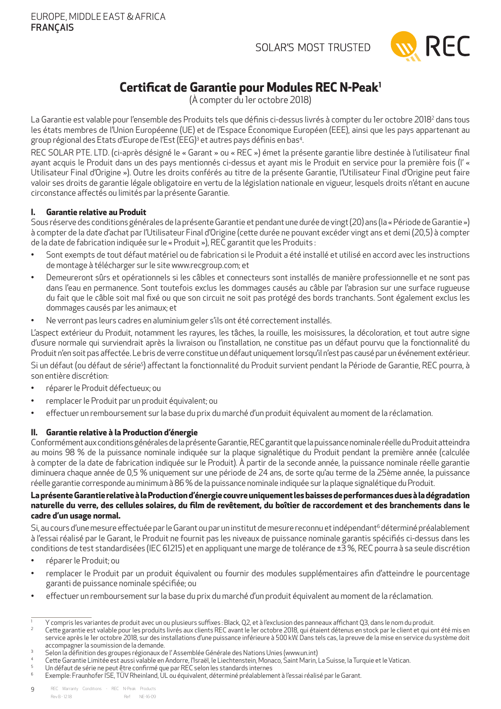

# **Certificat de Garantie pour Modules REC N-Peak1**

(À compter du 1er octobre 2018)

<span id="page-8-0"></span>La Garantie est valable pour l'ensemble des Produits tels que définis ci-dessus livrés à compter du 1er octobre 2018<sup>2</sup> dans tous les états membres de l'Union Européenne (UE) et de l'Espace Économique Européen (EEE), ainsi que les pays appartenant au group régional des Etats d'Europe de l'Est (EEG)ª et autres pays définis en bas4 .

REC SOLAR PTE. LTD . (ci-après désigné le « Garant » ou « REC ») émet la présente garantie libre destinée à l'utilisateur final ayant acquis le Produit dans un des pays mentionnés ci-dessus et ayant mis le Produit en service pour la première fois (l' « Utilisateur Final d'Origine »). Outre les droits conférés au titre de la présente Garantie, l'Utilisateur Final d'Origine peut faire valoir ses droits de garantie légale obligatoire en vertu de la législation nationale en vigueur, lesquels droits n'étant en aucune circonstance affectés ou limités par la présente Garantie.

### **I. Garantie relative au Produit**

Sous réserve des conditions générales de la présente Garantie et pendant une durée de vingt (20) ans (la « Période de Garantie ») à compter de la date d'achat par l'Utilisateur Final d'Origine (cette durée ne pouvant excéder vingt ans et demi (20,5) à compter de la date de fabrication indiquée sur le « Produit »), REC garantit que les Produits :

- Sont exempts de tout défaut matériel ou de fabrication si le Produit a été installé et utilisé en accord avec les instructions de montage à télécharger sur le site www.recgroup.com; et
- Demeureront sûrs et opérationnels si les câbles et connecteurs sont installés de manière professionnelle et ne sont pas dans l'eau en permanence. Sont toutefois exclus les dommages causés au câble par l'abrasion sur une surface rugueuse du fait que le câble soit mal fixé ou que son circuit ne soit pas protégé des bords tranchants. Sont également exclus les dommages causés par les animaux; et
- Ne verront pas leurs cadres en aluminium geler s'ils ont été correctement installés.

L'aspect extérieur du Produit, notamment les rayures, les tâches, la rouille, les moisissures, la décoloration, et tout autre signe d'usure normale qui surviendrait après la livraison ou l'installation, ne constitue pas un défaut pourvu que la fonctionnalité du Produit n'en soit pas affectée. Le bris de verre constitue un défaut uniquement lorsqu'il n'est pas causé par un événement extérieur.

Si un défaut (ou défaut de série<sup>s</sup>) affectant la fonctionnalité du Produit survient pendant la Période de Garantie, REC pourra, à son entière discrétion:

- réparer le Produit défectueux; ou
- remplacer le Produit par un produit équivalent; ou
- effectuer un remboursement sur la base du prix du marché d'un produit équivalent au moment de la réclamation.

### **II. Garantie relative à la Production d'énergie**

Conformément aux conditions générales de la présente Garantie, REC garantit que la puissance nominale réelle du Produit atteindra au moins 98 % de la puissance nominale indiquée sur la plaque signalétique du Produit pendant la première année (calculée à compter de la date de fabrication indiquée sur le Produit). À partir de la seconde année, la puissance nominale réelle garantie diminuera chaque année de 0,5 % uniquement sur une période de 24 ans, de sorte qu'au terme de la 25ème année, la puissance réelle garantie corresponde au minimum à 86 % de la puissance nominale indiquée sur la plaque signalétique du Produit.

### **La présente Garantie relative à la Production d'énergie couvre uniquement les baisses de performances dues à la dégradation naturelle du verre, des cellules solaires, du film de revêtement, du boîtier de raccordement et des branchements dans le cadre d'un usage normal.**

Si, au cours d'une mesure effectuée par le Garant ou par un institut de mesure reconnu et indépendant<sup>6</sup> déterminé préalablement à l'essai réalisé par le Garant, le Produit ne fournit pas les niveaux de puissance nominale garantis spécifiés ci-dessus dans les conditions de test standardisées (IEC 61215) et en appliquant une marge de tolérance de  $\pm 3$ %, REC pourra à sa seule discrétion

- réparer le Produit; ou
- remplacer le Produit par un produit équivalent ou fournir des modules supplémentaires afin d'atteindre le pourcentage garanti de puissance nominale spécifiée; ou
- effectuer un remboursement sur la base du prix du marché d'un produit équivalent au moment de la réclamation.

<sup>1</sup> Y compris les variantes de produit avec un ou plusieurs suffixes : Black, Q2, et à l'exclusion des panneaux affichant Q3, dans le nom du produit.

Cette garantie est valable pour les produits livrés aux clients REC avant le 1er octobre 2018, qui étaient détenus en stock par le client et qui ont été mis en service après le 1er octobre 2018, sur des installations d'une puissance inférieure à 500 kW. Dans tels cas, la preuve de la mise en service du système doit accompagner la soumission de la demande.

<sup>3</sup> Selon la définition des groupes régionaux de l' Assemblée Générale des Nations Unies (www.un.int)

<sup>4</sup> Cette Garantie Limitée est aussi valable en Andorre, l'Israël, le Liechtenstein, Monaco, Saint Marin, La Suisse, la Turquie et le Vatican.

Un défaut de série ne peut être confirmé que par REC selon les standards internes

<sup>6</sup> Exemple: Fraunhofer ISE, TÜVRheinland, UL ou équivalent, déterminé préalablement à l'essai réalisé par le Garant.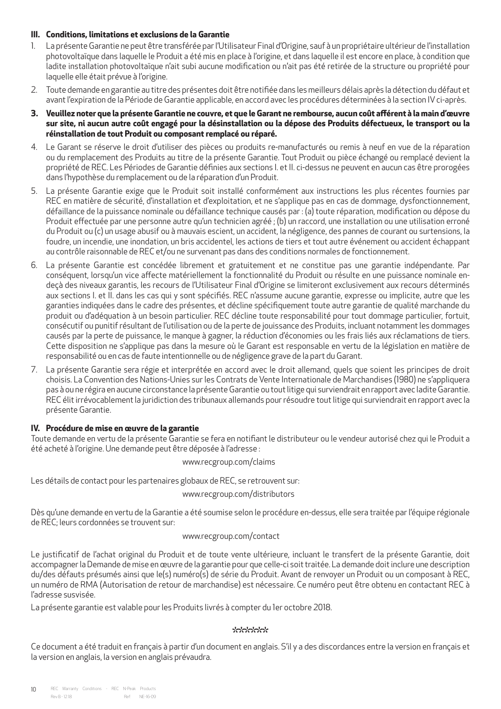### **III. Conditions, limitations et exclusions de la Garantie**

- 1. La présente Garantie ne peut être transférée par l'Utilisateur Final d'Origine, sauf à un propriétaire ultérieur de l'installation photovoltaïque dans laquelle le Produit a été mis en place à l'origine, et dans laquelle il est encore en place, à condition que ladite installation photovoltaïque n'ait subi aucune modification ou n'ait pas été retirée de la structure ou propriété pour laquelle elle était prévue à l'origine.
- 2. Toute demande en garantie au titre des présentes doit être notifiée dans les meilleurs délais après la détection du défaut et avant l'expiration de la Période de Garantie applicable, en accord avec les procédures déterminées à la section IV ci-après.
- **3. Veuillez noter que la présente Garantie ne couvre, et que le Garant ne rembourse, aucun coût afférent à la main d'œuvre sur site, ni aucun autre coût engagé pour la désinstallation ou la dépose des Produits défectueux, le transport ou la réinstallation de tout Produit ou composant remplacé ou réparé.**
- 4. Le Garant se réserve le droit d'utiliser des pièces ou produits re-manufacturés ou remis à neuf en vue de la réparation ou du remplacement des Produits au titre de la présente Garantie. Tout Produit ou pièce échangé ou remplacé devient la propriété de REC. Les Périodes de Garantie définies aux sections I. et II. ci-dessus ne peuvent en aucun cas être prorogées dans l'hypothèse du remplacement ou de la réparation d'un Produit.
- 5. La présente Garantie exige que le Produit soit installé conformément aux instructions les plus récentes fournies par REC en matière de sécurité, d'installation et d'exploitation, et ne s'applique pas en cas de dommage, dysfonctionnement, défaillance de la puissance nominale ou défaillance technique causés par : (a) toute réparation, modification ou dépose du Produit effectuée par une personne autre qu'un technicien agréé ; (b) un raccord, une installation ou une utilisation erroné du Produit ou (c) un usage abusif ou à mauvais escient, un accident, la négligence, des pannes de courant ou surtensions, la foudre, un incendie, une inondation, un bris accidentel, les actions de tiers et tout autre événement ou accident échappant au contrôle raisonnable de REC et/ou ne survenant pas dans des conditions normales de fonctionnement.
- 6. La présente Garantie est concédée librement et gratuitement et ne constitue pas une garantie indépendante. Par conséquent, lorsqu'un vice affecte matériellement la fonctionnalité du Produit ou résulte en une puissance nominale endeçà des niveaux garantis, les recours de l'Utilisateur Final d'Origine se limiteront exclusivement aux recours déterminés aux sections I. et II. dans les cas qui y sont spécifiés. REC n'assume aucune garantie, expresse ou implicite, autre que les garanties indiquées dans le cadre des présentes, et décline spécifiquement toute autre garantie de qualité marchande du produit ou d'adéquation à un besoin particulier. REC décline toute responsabilité pour tout dommage particulier, fortuit, consécutif ou punitif résultant de l'utilisation ou de la perte de jouissance des Produits, incluant notamment les dommages causés par la perte de puissance, le manque à gagner, la réduction d'économies ou les frais liés aux réclamations de tiers. Cette disposition ne s'applique pas dans la mesure où le Garant est responsable en vertu de la législation en matière de responsabilité ou en cas de faute intentionnelle ou de négligence grave de la part du Garant.
- 7. La présente Garantie sera régie et interprétée en accord avec le droit allemand, quels que soient les principes de droit choisis. La Convention des Nations-Unies sur les Contrats de Vente Internationale de Marchandises (1980) ne s'appliquera pas à ou ne régira en aucune circonstance la présente Garantie ou tout litige qui surviendrait en rapport avec ladite Garantie. REC élit irrévocablement la juridiction des tribunaux allemands pour résoudre tout litige qui surviendrait en rapport avec la présente Garantie.

### **IV. Procédure de mise en œuvre de la garantie**

Toute demande en vertu de la présente Garantie se fera en notifiant le distributeur ou le vendeur autorisé chez qui le Produit a été acheté à l'origine. Une demande peut être déposée à l'adresse :

www.recgroup.com/claims

Les détails de contact pour les partenaires globaux de REC, se retrouvent sur:

www.recgroup.com/distributors

Dès qu'une demande en vertu de la Garantie a été soumise selon le procédure en-dessus, elle sera traitée par l'équipe régionale de REC; leurs cordonnées se trouvent sur:

### www.recgroup.com/contact

Le justificatif de l'achat original du Produit et de toute vente ultérieure, incluant le transfert de la présente Garantie, doit accompagner la Demande de mise en œuvre de la garantie pour que celle-ci soit traitée. La demande doit inclure une description du/des défauts présumés ainsi que le(s) numéro(s) de série du Produit. Avant de renvoyer un Produit ou un composant à REC, un numéro de RMA (Autorisation de retour de marchandise) est nécessaire. Ce numéro peut être obtenu en contactant REC à l'adresse susvisée.

La présente garantie est valable pour les Produits livrés à compter du 1er octobre 2018.

### \*\*\*\*\*\*\*

Ce document a été traduit en français à partir d'un document en anglais. S'il y a des discordances entre la version en français et la version en anglais, la version en anglais prévaudra.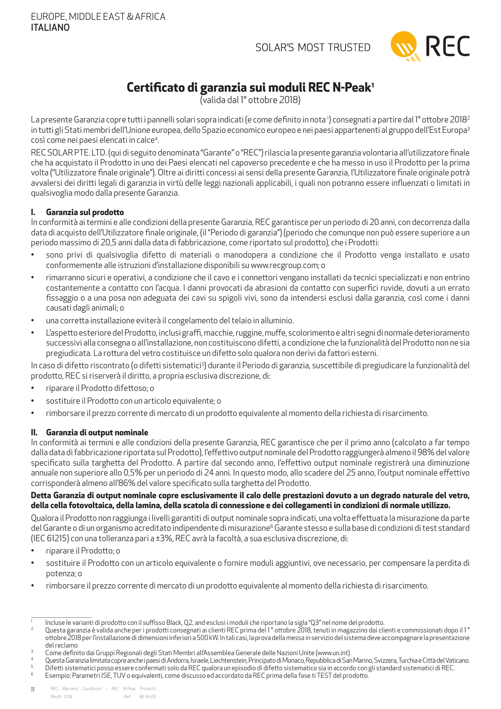

# **Certificato di garanzia sui moduli REC N-Peak1**

(valida dal 1° ottobre 2018)

<span id="page-10-0"></span>La presente Garanzia copre tutti i pannelli solari sopra indicati (e come definito in nota ') consegnati a partire dal 1° ottobre 2018<sup>2</sup> in tutti gli Stati membri dell'Unione europea, dello Spazio economico europeo e nei paesi appartenenti al gruppo dell'Est Europa<sup>3</sup> così come nei paesi elencati in calce<sup>4</sup>. .

REC SOLARPTE. LTD . (qui di seguito denominata "Garante" o "REC") rilascia la presente garanzia volontaria all'utilizzatore finale che ha acquistato il Prodotto in uno dei Paesi elencati nel capoverso precedente e che ha messo in uso il Prodotto per la prima volta ("Utilizzatore finale originale"). Oltre ai diritti concessi ai sensi della presente Garanzia, l'Utilizzatore finale originale potrà avvalersi dei diritti legali di garanzia in virtù delle leggi nazionali applicabili, i quali non potranno essere influenzati o limitati in qualsivoglia modo dalla presente Garanzia.

### **I. Garanzia sul prodotto**

In conformità ai termini e alle condizioni della presente Garanzia, REC garantisce per un periodo di 20 anni, con decorrenza dalla data di acquisto dell'Utilizzatore finale originale, (il "Periodo di garanzia") (periodo che comunque non può essere superiore a un periodo massimo di 20,5 anni dalla data di fabbricazione, come riportato sul prodotto), che i Prodotti:

- sono privi di qualsivoglia difetto di materiali o manodopera a condizione che il Prodotto venga installato e usato conformemente alle istruzioni d'installazione disponibili su www.recgroup.com; o
- rimarranno sicuri e operativi, a condizione che il cavo e i connettori vengano installati da tecnici specializzati e non entrino costantemente a contatto con l'acqua. I danni provocati da abrasioni da contatto con superfici ruvide, dovuti a un errato fissaggio o a una posa non adeguata dei cavi su spigoli vivi, sono da intendersi esclusi dalla garanzia, così come i danni causati dagli animali; o
- una corretta installazione eviterà il congelamento del telaio in alluminio.
- L'aspetto esteriore del Prodotto, inclusi graffi, macchie, ruggine, muffe, scolorimento e altri segni di normale deterioramento successivi alla consegna o all'installazione, non costituiscono difetti, a condizione che la funzionalità del Prodotto non ne sia pregiudicata. La rottura del vetro costituisce un difetto solo qualora non derivi da fattori esterni.

In caso di difetto riscontrato (o difetti sistematici<sup>s</sup>) durante il Periodo di garanzia, suscettibile di pregiudicare la funzionalità del prodotto, REC si riserverà il diritto, a propria esclusiva discrezione, di:

- riparare il Prodotto difettoso; o
- sostituire il Prodotto con un articolo equivalente; o
- rimborsare il prezzo corrente di mercato di un prodotto equivalente al momento della richiesta di risarcimento.

### **II. Garanzia di output nominale**

In conformità ai termini e alle condizioni della presente Garanzia, REC garantisce che per il primo anno (calcolato a far tempo dalla data di fabbricazione riportata sul Prodotto), l'effettivo output nominale del Prodotto raggiungerà almeno il 98% del valore specificato sulla targhetta del Prodotto. A partire dal secondo anno, l'effettivo output nominale registrerà una diminuzione annuale non superiore allo 0,5% per un periodo di 24 anni. In questo modo, allo scadere del 25 anno, l'output nominale effettivo corrisponderà almeno all'86% del valore specificato sulla targhetta del Prodotto.

### **Detta Garanzia di output nominale copre esclusivamente il calo delle prestazioni dovuto a un degrado naturale del vetro, della cella fotovoltaica, della lamina, della scatola di connessione e dei collegamenti in condizioni di normale utilizzo.**

Qualora il Prodotto non raggiunga i livelli garantiti di output nominale sopra indicati, una volta effettuata la misurazione da parte del Garante o di un organismo acreditato indipendente di misurazione<sup>6</sup> Garante stesso e sulla base di condizioni di test standard (IEC 61215) con una tolleranza pari a ±3%, REC avrà la facoltà, a sua esclusiva discrezione, di:

- riparare il Prodotto; o
- sostituire il Prodotto con un articolo equivalente o fornire moduli aggiuntivi, ove necessario, per compensare la perdita di potenza; o
- rimborsare il prezzo corrente di mercato di un prodotto equivalente al momento della richiesta di risarcimento.

5 Difetti sistematici posso essere confermati solo da REC qualora un episodio di difetto sistematico sia in accordo con gli standard sistematici di REC. 6

<sup>1</sup> Incluse le varianti di prodotto con il suffisso Black, Q2, and esclusi i moduli che riportano la sigla "Q3" nel nome del prodotto.

 $^{2}$  Questa garanzia è valida anche per i prodotti consegnati ai clienti REC prima del 1° ottobre 2018, tenuti in magazzino dai clienti e commissionati dopo il 1° ottobre 2018 per l'installazione di dimensioni inferiori a 500 kW. In tali casi, la prova della messa in servizio del sistema deve accompagnare la presentazione del reclamo

 $^3$   $\,$  Come definito dai Gruppi Regionali degli Stati Membri all'Assemblea Generale delle Nazioni Unite (www.un.int).

<sup>4</sup> Questa Garanzia limitata copre anche i paesi di Andorra, Israele, Liechtenstein, Principato di Monaco, Repubblica di San Marino, Svizzera, Turchia e Città del Vaticano.

Esempio: Parametri ISE, TUV o equivalenti, come discusso ed accordato da REC prima della fase ti TEST del prodotto.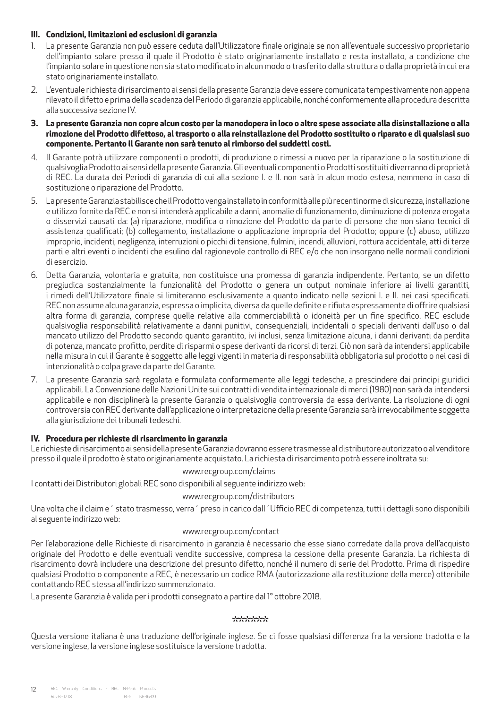### **III. Condizioni, limitazioni ed esclusioni di garanzia**

- 1. La presente Garanzia non può essere ceduta dall'Utilizzatore finale originale se non all'eventuale successivo proprietario dell'impianto solare presso il quale il Prodotto è stato originariamente installato e resta installato, a condizione che l'impianto solare in questione non sia stato modificato in alcun modo o trasferito dalla struttura o dalla proprietà in cui era stato originariamente installato.
- 2. L'eventuale richiesta di risarcimento ai sensi della presente Garanzia deve essere comunicata tempestivamente non appena rilevato il difetto e prima della scadenza del Periodo di garanzia applicabile, nonché conformemente alla procedura descritta alla successiva sezione IV.
- **3. La presente Garanzia non copre alcun costo per la manodopera in loco o altre spese associate alla disinstallazione o alla rimozione del Prodotto difettoso, al trasporto o alla reinstallazione del Prodotto sostituito o riparato e di qualsiasi suo componente. Pertanto il Garante non sarà tenuto al rimborso dei suddetti costi.**
- 4. Il Garante potrà utilizzare componenti o prodotti, di produzione o rimessi a nuovo per la riparazione o la sostituzione di qualsivoglia Prodotto ai sensi della presente Garanzia. Gli eventuali componenti o Prodotti sostituiti diverranno di proprietà di REC. La durata dei Periodi di garanzia di cui alla sezione I. e II. non sarà in alcun modo estesa, nemmeno in caso di sostituzione o riparazione del Prodotto.
- 5. La presente Garanzia stabilisce che il Prodotto venga installato in conformità alle più recenti norme di sicurezza, installazione e utilizzo fornite da REC e non si intenderà applicabile a danni, anomalie di funzionamento, diminuzione di potenza erogata o disservizi causati da: (a) riparazione, modifica o rimozione del Prodotto da parte di persone che non siano tecnici di assistenza qualificati; (b) collegamento, installazione o applicazione impropria del Prodotto; oppure (c) abuso, utilizzo improprio, incidenti, negligenza, interruzioni o picchi di tensione, fulmini, incendi, alluvioni, rottura accidentale, atti di terze parti e altri eventi o incidenti che esulino dal ragionevole controllo di REC e/o che non insorgano nelle normali condizioni di esercizio.
- 6. Detta Garanzia, volontaria e gratuita, non costituisce una promessa di garanzia indipendente. Pertanto, se un difetto pregiudica sostanzialmente la funzionalità del Prodotto o genera un output nominale inferiore ai livelli garantiti, i rimedi dell'Utilizzatore finale si limiteranno esclusivamente a quanto indicato nelle sezioni I. e II. nei casi specificati. REC non assume alcuna garanzia, espressa o implicita, diversa da quelle definite e rifiuta espressamente di offrire qualsiasi altra forma di garanzia, comprese quelle relative alla commerciabilità o idoneità per un fine specifico. REC esclude qualsivoglia responsabilità relativamente a danni punitivi, consequenziali, incidentali o speciali derivanti dall'uso o dal mancato utilizzo del Prodotto secondo quanto garantito, ivi inclusi, senza limitazione alcuna, i danni derivanti da perdita di potenza, mancato profitto, perdite di risparmi o spese derivanti da ricorsi di terzi. Ciò non sarà da intendersi applicabile nella misura in cui il Garante è soggetto alle leggi vigenti in materia di responsabilità obbligatoria sul prodotto o nei casi di intenzionalità o colpa grave da parte del Garante.
- 7. La presente Garanzia sarà regolata e formulata conformemente alle leggi tedesche, a prescindere dai principi giuridici applicabili. La Convenzione delle Nazioni Unite sui contratti di vendita internazionale di merci (1980) non sarà da intendersi applicabile e non disciplinerà la presente Garanzia o qualsivoglia controversia da essa derivante. La risoluzione di ogni controversia con REC derivante dall'applicazione o interpretazione della presente Garanzia sarà irrevocabilmente soggetta alla giurisdizione dei tribunali tedeschi.

### **IV. Procedura per richieste di risarcimento in garanzia**

Le richieste di risarcimento ai sensi della presente Garanzia dovranno essere trasmesse al distributore autorizzato o al venditore presso il quale il prodotto è stato originariamente acquistato. La richiesta di risarcimento potrà essere inoltrata su:

### www.recgroup.com/claims

I contatti dei Distributori globali REC sono disponibili al seguente indirizzo web:

www.recgroup.com/distributors

Una volta che il claim e´ stato trasmesso, verra´ preso in carico dall´Ufficio REC di competenza, tutti i dettagli sono disponibili al seguente indirizzo web:

### www.recgroup.com/contact

Per l'elaborazione delle Richieste di risarcimento in garanzia è necessario che esse siano corredate dalla prova dell'acquisto originale del Prodotto e delle eventuali vendite successive, compresa la cessione della presente Garanzia. La richiesta di risarcimento dovrà includere una descrizione del presunto difetto, nonché il numero di serie del Prodotto. Prima di rispedire qualsiasi Prodotto o componente a REC, è necessario un codice RMA (autorizzazione alla restituzione della merce) ottenibile contattando REC stessa all'indirizzo summenzionato.

La presente Garanzia è valida per i prodotti consegnato a partire dal 1° ottobre 2018.

### \*\*\*\*\*\*

Questa versione italiana è una traduzione dell'originale inglese. Se ci fosse qualsiasi differenza fra la versione tradotta e la versione inglese, la versione inglese sostituisce la versione tradotta.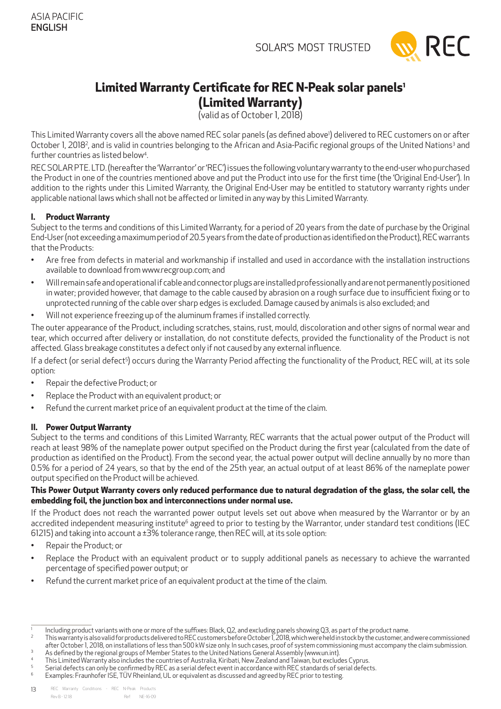

# <span id="page-12-0"></span>**Limited Warranty Certificate for REC N-Peak solar panels1**

**(Limited Warranty)**

(valid as of October 1, 2018)

This Limited Warranty covers all the above named REC solar panels (as defined above') delivered to REC customers on or after October 1, 2018<sup>2</sup>, and is valid in countries belonging to the African and Asia-Pacific regional groups of the United Nations<sup>3</sup> and further countries as listed below<sup>4</sup>. .

REC SOLARPTE. LTD . (hereafter the 'Warrantor' or 'REC') issues the following voluntary warranty to the end-user who purchased the Product in one of the countries mentioned above and put the Product into use for the first time (the 'Original End-User'). In addition to the rights under this Limited Warranty, the Original End-User may be entitled to statutory warranty rights under applicable national laws which shall not be affected or limited in any way by this Limited Warranty.

### **I. Product Warranty**

Subject to the terms and conditions of this Limited Warranty, for a period of 20 years from the date of purchase by the Original End-User (not exceeding a maximum period of 20.5 years from the date of production as identified on the Product), REC warrants that the Products:

- Are free from defects in material and workmanship if installed and used in accordance with the installation instructions available to download from www.recgroup.com; and
- Will remain safe and operational if cable and connector plugs are installed professionally and are not permanently positioned in water; provided however, that damage to the cable caused by abrasion on a rough surface due to insufficient fixing or to unprotected running of the cable over sharp edges is excluded. Damage caused by animals is also excluded; and
- Will not experience freezing up of the aluminum frames if installed correctly.

The outer appearance of the Product, including scratches, stains, rust, mould, discoloration and other signs of normal wear and tear, which occurred after delivery or installation, do not constitute defects, provided the functionality of the Product is not affected. Glass breakage constitutes a defect only if not caused by any external influence.

If a defect (or serial defect<sup>5</sup>) occurs during the Warranty Period affecting the functionality of the Product, REC will, at its sole option:

- Repair the defective Product; or
- Replace the Product with an equivalent product; or
- Refund the current market price of an equivalent product at the time of the claim.

### **II. Power Output Warranty**

Subject to the terms and conditions of this Limited Warranty, REC warrants that the actual power output of the Product will reach at least 98% of the nameplate power output specified on the Product during the first year (calculated from the date of production as identified on the Product). From the second year, the actual power output will decline annually by no more than 0.5% for a period of 24 years, so that by the end of the 25th year, an actual output of at least 86% of the nameplate power output specified on the Product will be achieved.

### **This Power Output Warranty covers only reduced performance due to natural degradation of the glass, the solar cell, the embedding foil, the junction box and interconnections under normal use.**

If the Product does not reach the warranted power output levels set out above when measured by the Warrantor or by an accredited independent measuring institute<sup>6</sup> agreed to prior to testing by the Warrantor, under standard test conditions (IEC 61215) and taking into account a  $\pm$ 3% tolerance range, then REC will, at its sole option:

- Repair the Product; or
- Replace the Product with an equivalent product or to supply additional panels as necessary to achieve the warranted percentage of specified power output; or
- Refund the current market price of an equivalent product at the time of the claim.

2 This warranty is also valid for products delivered to REC customers before October 1, 2018, which were held in stock by the customer, and were commissioned after October 1, 2018, on installations of less than 500 kW size only. In such cases, proof of system commissioning must accompany the claim submission. 3 As defined by the regional groups of Member States to the United Nations General Assembly (www.un.int).

<sup>1</sup> Including product variants with one or more of the suffixes: Black, Q2, and excluding panels showing Q3, as part of the product name.

<sup>4</sup> This Limited Warranty also includes the countries of Australia, Kiribati, New Zealand and Taiwan, but excludes Cyprus.

<sup>5</sup> Serial defects can only be confirmed by REC as a serial defect event in accordance with REC standards of serial defects.

<sup>6</sup> Examples: Fraunhofer ISE, TÜVRheinland, UL or equivalent as discussed and agreed by REC prior to testing.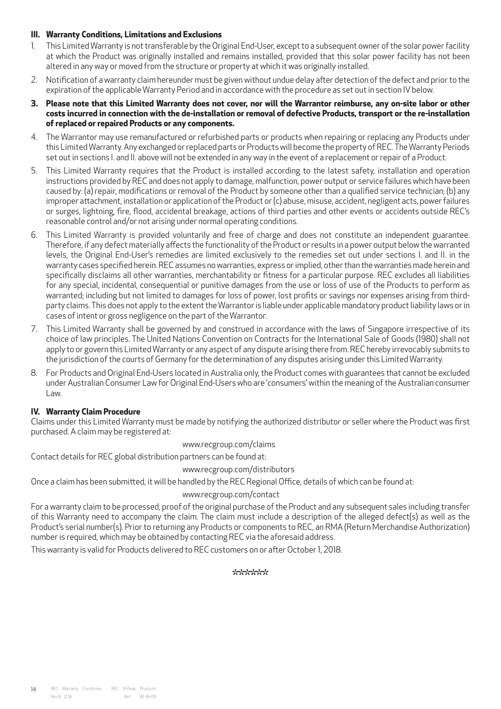### **III. Warranty Conditions, Limitations and Exclusions**

- 1. This Limited Warranty is not transferable by the Original End-User, except to a subsequent owner of the solar power facility at which the Product was originally installed and remains installed, provided that this solar power facility has not been altered in any way or moved from the structure or property at which it was originally installed.
- 2. Notification of a warranty claim hereunder must be given without undue delay after detection of the defect and prior to the expiration of the applicable Warranty Period and in accordance with the procedure as set out in section IV below.
- **3. Please note that this Limited Warranty does not cover, nor will the Warrantor reimburse, any on-site labor or other costs incurred in connection with the de-installation or removal of defective Products, transport or the re-installation of replaced or repaired Products or any components.**
- 4. The Warrantor may use remanufactured or refurbished parts or products when repairing or replacing any Products under this Limited Warranty. Any exchanged or replaced parts or Products will become the property of REC. The Warranty Periods set out in sections I. and II. above will not be extended in any way in the event of a replacement or repair of a Product.
- 5. This Limited Warranty requires that the Product is installed according to the latest safety, installation and operation instructions provided by REC and does not apply to damage, malfunction, power output or service failures which have been caused by: (a) repair, modifications or removal of the Product by someone other than a qualified service technician; (b) any improper attachment, installation or application of the Product or (c) abuse, misuse, accident, negligent acts, power failures or surges, lightning, fire, flood, accidental breakage, actions of third parties and other events or accidents outside REC's reasonable control and/or not arising under normal operating conditions.
- 6. This Limited Warranty is provided voluntarily and free of charge and does not constitute an independent guarantee. Therefore, if any defect materially affects the functionality of the Product or results in a power output below the warranted levels, the Original End-User's remedies are limited exclusively to the remedies set out under sections I. and II. in the warranty cases specified herein. REC assumes no warranties, express or implied, other than the warranties made herein and specifically disclaims all other warranties, merchantability or fitness for a particular purpose. REC excludes all liabilities for any special, incidental, consequential or punitive damages from the use or loss of use of the Products to perform as warranted; including but not limited to damages for loss of power, lost profits or savings nor expenses arising from thirdparty claims. This does not apply to the extent the Warrantor is liable under applicable mandatory product liability laws or in cases of intent or gross negligence on the part of the Warrantor.
- 7. This Limited Warranty shall be governed by and construed in accordance with the laws of Singapore irrespective of its choice of law principles. The United Nations Convention on Contracts for the International Sale of Goods (1980) shall not apply to or govern this Limited Warranty or any aspect of any dispute arising there from. REC hereby irrevocably submits to the jurisdiction of the courts of Germany for the determination of any disputes arising under this Limited Warranty.
- 8. For Products and Original End-Users located in Australia only, the Product comes with guarantees that cannot be excluded under Australian Consumer Law for Original End-Users who are 'consumers' within the meaning of the Australian consumer Law.

### **IV. Warranty Claim Procedure**

Claims under this Limited Warranty must be made by notifying the authorized distributor or seller where the Product was first purchased. A claim may be registered at:

www.recgroup.com/claims

Contact details for REC global distribution partners can be found at:

### www.recgroup.com/distributors

Once a claim has been submitted, it will be handled by the REC Regional Office, details of which can be found at:

### www.recgroup.com/contact

For a warranty claim to be processed, proof of the original purchase of the Product and any subsequent sales including transfer of this Warranty need to accompany the claim. The claim must include a description of the alleged defect(s) as well as the Product's serial number(s). Prior to returning any Products or components to REC, an RMA (Return Merchandise Authorization) number is required, which may be obtained by contacting REC via the aforesaid address.

This warranty is valid for Products delivered to REC customers on or after October 1, 2018.

### \*\*\*\*\*\*\*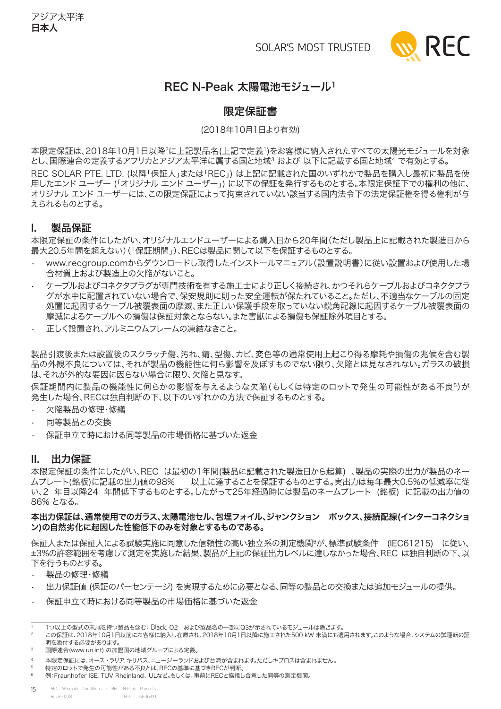

### REC N-Peak 太陽電池モジュール1

### 限定保証書

### (2018年10月1日より有効)

<span id="page-14-0"></span>本限定保証は、2018年10月1日以降2に上記製品名(上記で定義1)をお客様に納入されたすべての太陽光モジュールを対象 とし、国際連合の定義するアフリカとアジア太平洋に属する国と地域3 および 以下に記載する国と地域4 で有効とする。 REC solar PTE. LTD. (以降「保証人」または「REC」) は上記に記載された国のいずれかで製品を購入し最初に製品を使 用したエンド ユーザー (「オリジナル エンド ユーザー」) に以下の保証を発行するものとする。本限定保証下での権利の他に、 オリジナル エンド ユーザーには、この限定保証によって拘束されていない該当する国内法令下の法定保証権を得る権利が与 えられるものとする。

### I. 製品保証

本限定保証の条件にしたがい、オリジナルエンドユーザーによる購入日から20年間(ただし製品上に記載された製造日から 最大20.5年間を超えない)(「保証期間」)、RECは製品に関して以下を保証するものとする。

- www.recgroup.comからダウンロードし取得したインストールマニュアル(設置説明書)に従い設置および使用した場 合材質上および製造上の欠陥がないこと。
- ケーブルおよびコネクタプラグが専門技術を有する施工士により正しく接続され、かつそれらケーブルおよびコネクタプラ グが水中に配置されていない場合で、保安規則に則った安全運転が保たれていること。ただし、不適当なケーブルの固定 処置に起因するケーブル被覆表面の摩滅、また正しい保護手段を取っていない鋭角配線に起因するケーブル被覆表面の 摩滅によるケーブルへの損傷は保証対象とならない。また害獣による損傷も保証除外項目とする。
- 正しく設置され、アルミニウムフレームの凍結なきこと。

製品引渡後または設置後のスクラッチ傷、汚れ、錆、型傷、カビ、変色等の通常使用上起こり得る摩耗や損傷の兆候を含む製 品の外観不良については、それが製品の機能性に何ら影響を及ぼすものでない限り、欠陥とは見なされない。ガラスの破損 は、それが外的な要因に因らない場合に限り、欠陥と見なす。

保証期間内に製品の機能性に何らかの影響を与えるような欠陥(もしくは特定のロットで発生の可能性がある不良5)が 発生した場合、RECは独自判断の下、以下のいずれかの方法で保証するものとする。

- 欠陥製品の修理・修繕
- 同等製品との交換
- 保証申立て時における同等製品の市場価格に基づいた返金

### II. 出力保証

本限定保証の条件にしたがい、REC は最初の1年間(製品に記載された製造日から起算) 、製品の実際の出力が製品のネー ムプレート(銘板)に記載の出力値の98% 以上に達することを保証するものとする。実出力は毎年最大0.5%の低減率に従 い、2 年目以降24 年間低下するものとする。したがって25年経過時には製品のネームプレート (銘板) に記載の出力値の 86% となる。

### 本出力保証は、通常使用でのガラス、太陽電池セル、包埋フォイル、ジャンクション ボックス、接続配線(インターコネクショ ン)の自然劣化に起因した性能低下のみを対象とするものである。

保証人または保証人による試験実施に同意した信頼性の高い独立系の測定機関6が、標準試験条件 (IEC61215) に従い、 ±3%の許容範囲を考慮して測定を実施した結果、製品が上記の保証出力レベルに達しなかった場合、REC は独自判断の下、以 下を行うものとする。

- 製品の修理・修繕
- 出力保証値 (保証のパーセンテージ) を実現するために必要となる、同等の製品との交換または追加モジュールの提供。
- 保証申立て時における同等製品の市場価格に基づいた返金

<sup>1</sup> 1つ以上の型式の末尾を持つ製品も含む: Black, Q2 および製品名の一部にQ3が示されているモジュールは除きます。

<sup>2</sup> この保証は、2018年10月1日以前にお客様に納入し在庫され、2018年10月1日以降に施工された500 kW 未満にも適用されます。このような場合、システムの試運転の証 明を添付する必要があります。

<sup>3</sup> 国際連合(www.un.int) の加盟国の地域グループによる定義。

<sup>4</sup> 本限定保証には、オーストラリア、キリバス、ニュージーランドおよび台湾が含まれます。ただしキプロスは含まれません。

<sup>5</sup> 特定のロットで発生の可能性がある不良とは、RECの基準に基づきRECが判断。

<sup>6</sup> 例:Fraunhofer ISE、TUV Rheinland、 ULなど。もしくは、事前にRECと協議し合意した同等の測定機関。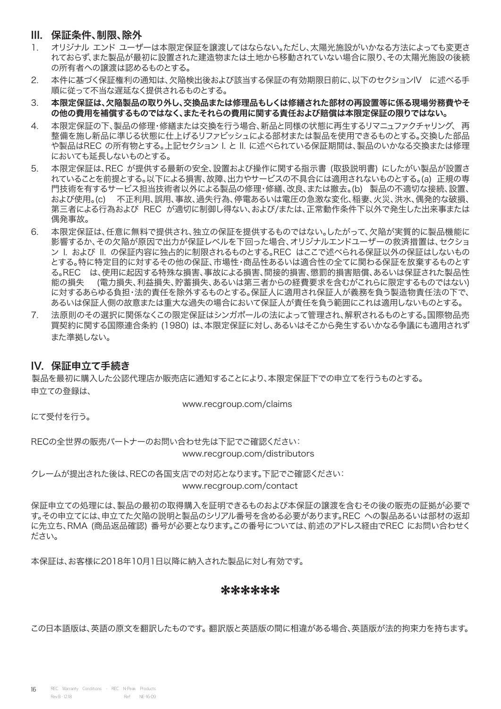### III. 保証条件、制限、除外

- 1. オリジナル エンド ユーザーは本限定保証を譲渡してはならない。ただし、太陽光施設がいかなる方法によっても変更さ れておらず、また製品が最初に設置された建造物または土地から移動されていない場合に限り、その太陽光施設の後続 の所有者への譲渡は認めるものとする。
- 2. 本件に基づく保証権利の通知は、欠陥検出後および該当する保証の有効期限日前に、以下のセクションIV に述べる手 順に従って不当な遅延なく提供されるものとする。
- 3. 本限定保証は、欠陥製品の取り外し、交換品または修理品もしくは修繕された部材の再設置等に係る現場労務費やそ の他の費用を補償するものではなく、またそれらの費用に関する責任および賠償は本限定保証の限りではない。
- 4. 本限定保証の下、製品の修理・修繕または交換を行う場合、新品と同様の状態に再生するリマニュファクチャリング、 再 整備を施し新品に準じる状態に仕上げるリファビッシュによる部材または製品を使用できるものとする。交換した部品 や製品はREC の所有物とする。上記セクション I. と II. に述べられている保証期間は、製品のいかなる交換または修理 においても延長しないものとする。
- 5. 本限定保証は、REC が提供する最新の安全、設置および操作に関する指示書 (取扱説明書) にしたがい製品が設置さ れていることを前提とする。以下による損害、故障、出力やサービスの不具合には適用されないものとする。(a) 正規の専 門技術を有するサービス担当技術者以外による製品の修理・修繕、改良、または撤去。(b) 製品の不適切な接続、設置、 および使用。(c) 不正利用、誤用、事故、過失行為、停電あるいは電圧の急激な変化、稲妻、火災、洪水、偶発的な破損、 第三者による行為および REC が適切に制御し得ない、および/または、正常動作条件下以外で発生した出来事または 偶発事故。
- 6. 本限定保証は、任意に無料で提供され、独立の保証を提供するものではない。したがって、欠陥が実質的に製品機能に 影響するか、その欠陥が原因で出力が保証レベルを下回った場合、オリジナルエンドユーザーの救済措置は、セクショ ン I. および II. の保証内容に独占的に制限されるものとする。REC はここで述べられる保証以外の保証はしないもの とする。特に特定目的に対するその他の保証、市場性・商品性あるいは適合性の全てに関わる保証を放棄するものとす る。REC は、使用に起因する特殊な損害、事故による損害、間接的損害、懲罰的損害賠償、あるいは保証された製品性 能の損失 (電力損失、利益損失、貯蓄損失、あるいは第三者からの経費要求を含むがこれらに限定するものではない) に対するあらゆる負担・法的責任を除外するものとする。保証人に適用され保証人が義務を負う製造物責任法の下で、 あるいは保証人側の故意または重大な過失の場合において保証人が責任を負う範囲にこれは適用しないものとする。
- 7. 法原則のその選択に関係なくこの限定保証はシンガポールの法によって管理され、解釈されるものとする。国際物品売 買契約に関する国際連合条約 (1980) は、本限定保証に対し、あるいはそこから発生するいかなる争議にも適用されず また準拠しない。

### IV. 保証申立て手続き

製品を最初に購入した公認代理店か販売店に通知することにより、本限定保証下での申立てを行うものとする。 申立ての登録は、

www.recgroup.com/claims

にて受付を行う。

RECの全世界の販売パートナーのお問い合わせ先は下記でご確認ください: www.recgroup.com/distributors

クレームが提出された後は、RECの各国支店での対応となります。下記でご確認ください: www.recgroup.com/contact

保証申立ての処理には、製品の最初の取得購入を証明できるものおよび本保証の譲渡を含むその後の販売の証拠が必要で す。その申立てには、申立てた欠陥の説明と製品のシリアル番号を含める必要があります。REC への製品あるいは部材の返却 に先立ち、RMA (商品返品確認) 番号が必要となります。この番号については、前述のアドレス経由でREC にお問い合わせく ださい。

本保証は、お客様に2018年10月1日以降に納入された製品に対し有効です。

\*\*\*\*\*\*

この日本語版は、英語の原文を翻訳したものです。 翻訳版と英語版の間に相違がある場合、英語版が法的拘束力を持ちます。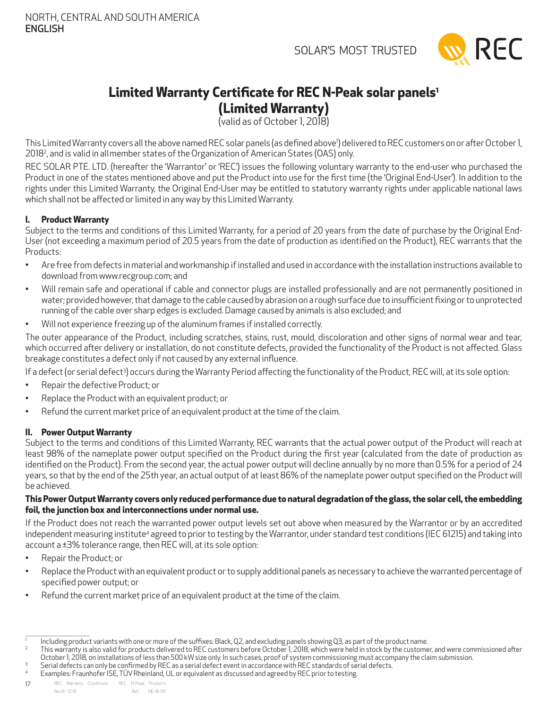

### <span id="page-16-0"></span>**Limited Warranty Certificate for REC N-Peak solar panels1 (Limited Warranty)**

(valid as of October 1, 2018)

This Limited Warranty covers all the above named REC solar panels (as defined above') delivered to REC customers on or after October 1, 20182 , and is valid in allmember states of the Organization of American States (OAS) only.

REC SOLAR PTE. LTD. (hereafter the 'Warrantor' or 'REC') issues the following voluntary warranty to the end-user who purchased the Product in one of the states mentioned above and put the Product into use for the first time (the 'Original End-User'). In addition to the rights under this Limited Warranty, the Original End-User may be entitled to statutory warranty rights under applicable national laws which shall not be affected or limited in any way by this Limited Warranty.

### **I. Product Warranty**

Subject to the terms and conditions of this Limited Warranty, for a period of 20 years from the date of purchase by the Original End-User (not exceeding a maximum period of 20.5 years from the date of production as identified on the Product), REC warrants that the Products:

- Are free from defects in material and workmanship if installed and used in accordance with the installation instructions available to download from www.recgroup.com; and
- • Will remain safe and operational if cable and connector plugs are installed professionally and are not permanently positioned in water; provided however, that damage to the cable caused by abrasion on a rough surface due to insufficient fixing or to unprotected running of the cable over sharp edges is excluded. Damage caused by animals is also excluded; and
- Will not experience freezing up of the aluminum frames if installed correctly.

The outer appearance of the Product, including scratches, stains, rust, mould, discoloration and other signs of normal wear and tear, which occurred after delivery or installation, do not constitute defects, provided the functionality of the Product is not affected. Glass breakage constitutes a defect only if not caused by any external influence.

If a defect (or serial defect3) occurs during the Warranty Period affecting the functionality of the Product, REC will, at its sole option:

- • Repair the defective Product; or
- • Replace the Product with an equivalent product; or
- • Refund the current market price of an equivalent product at the time of the claim.

### **II. Power Output Warranty**

Subject to the terms and conditions of this Limited Warranty, REC warrants that the actual power output of the Product will reach at least 98% of the nameplate power output specified on the Product during the first year (calculated from the date of production as identified on the Product). From the second year, the actual power output will decline annually by no more than 0.5% for a period of 24 years, so that by the end of the 25th year, an actual output of at least 86% of the nameplate power output specified on the Product will be achieved.

### **This Power Output Warranty covers only reduced performance due to natural degradation of the glass, the solar cell, the embedding foil, the junction box and interconnections under normal use.**

If the Product does not reach the warranted power output levels set out above when measured by the Warrantor or by an accredited independent measuring institute<sup>4</sup> agreed to prior to testing by the Warrantor, under standard test conditions (IEC 61215) and taking into account a ±3% tolerance range, then REC will, at its sole option:

- Repair the Product; or
- • Replace the Product with an equivalent product or to supply additional panels as necessary to achieve the warranted percentage of specified power output; or
- Refund the current market price of an equivalent product at the time of the claim.

- 2 This warranty is also valid for products delivered to REC customers before October 1, 2018, which were held in stock by the customer, and were commissioned after October 1, 2018, on installations of less than 500 kW size only. In such cases, proof of system commissioning must accompany the claim submission. 3
- Serial defects can only be confirmed by REC as a serial defect event in accordance with REC standards of serial defects.
- 4 Examples: Fraunhofer ISE, TÜV Rheinland, UL or equivalent as discussed and agreed by REC prior to testing.

17 REC Warranty Conditions - REC N-Peak Products Rev B - 12.18 Ref: NE-16-09

<sup>1</sup> Including product variants with one or more of the suffixes: Black, Q2, and excluding panels showing Q3, as part of the product name.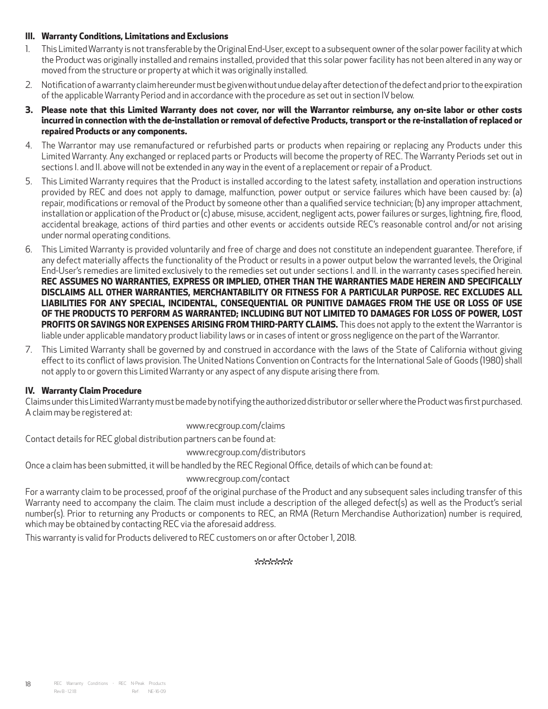### **III. Warranty Conditions, Limitations and Exclusions**

- 1. This Limited Warranty is not transferable by the Original End-User, except to a subsequent owner of the solar power facility at which the Product was originally installed and remains installed, provided that this solar power facility has not been altered in any way or moved from the structure or property at which it was originally installed.
- 2. Notification of a warranty claim hereunder must be given without undue delay after detection of the defect and prior to the expiration of the applicable Warranty Period and in accordance with the procedure as set out in section IV below.
- **3. Please note that this Limited Warranty does not cover, nor will the Warrantor reimburse, any on-site labor or other costs incurred in connection with the de-installation or removal of defective Products, transport or the re-installation of replaced or repaired Products or any components.**
- 4. The Warrantor may use remanufactured or refurbished parts or products when repairing or replacing any Products under this Limited Warranty. Any exchanged or replaced parts or Products will become the property of REC. The Warranty Periods set out in sections I. and II. above will not be extended in any way in the event of a replacement or repair of a Product.
- 5. This Limited Warranty requires that the Product is installed according to the latest safety, installation and operation instructions provided by REC and does not apply to damage, malfunction, power output or service failures which have been caused by: (a) repair, modifications or removal of the Product by someone other than a qualified service technician; (b) any improper attachment, installation or application of the Product or (c) abuse, misuse, accident, negligent acts, power failures or surges, lightning, fire, flood, accidental breakage, actions of third parties and other events or accidents outside REC's reasonable control and/or not arising under normal operating conditions.
- 6. This Limited Warranty is provided voluntarily and free of charge and does not constitute an independent guarantee. Therefore, if any defect materially affects the functionality of the Product or results in a power output below the warranted levels, the Original End-User's remedies are limited exclusively to the remedies set out under sections I. and II. in the warranty cases specified herein. **REC assumes no warranties, express or implied, other than the warranties made herein and specifically disclaims all other warranties, merchantability or fitness for a particular purpose. REC excludes all liabilities for any special, incidental, consequential or punitive damages from the use or loss of use of the Products to perform as warranted; including but not limited to damages for loss of power, lost PROFITS OR SAVINGS NOR EXPENSES ARISING FROM THIRD-PARTY CLAIMS.** This does not apply to the extent the Warrantor is liable under applicable mandatory product liability laws or in cases of intent or gross negligence on the part of the Warrantor.
- 7. This Limited Warranty shall be governed by and construed in accordance with the laws of the State of California without giving effect to its conflict of laws provision. The United Nations Convention on Contracts for the International Sale of Goods (1980) shall not apply to or govern this Limited Warranty or any aspect of any dispute arising there from.

### **IV. Warranty Claim Procedure**

Claims under this Limited Warranty must be made by notifying the authorized distributor or seller where the Product was first purchased. A claim may be registered at:

### www.recgroup.com/claims

Contact details for REC global distribution partners can be found at:

### www.recgroup.com/distributors

Once a claim has been submitted, it will be handled by the REC Regional Office, details of which can be found at:

### www.recgroup.com/contact

For a warranty claim to be processed, proof of the original purchase of the Product and any subsequent sales including transfer of this Warranty need to accompany the claim. The claim must include a description of the alleged defect(s) as well as the Product's serial number(s). Prior to returning any Products or components to REC, an RMA (Return Merchandise Authorization) number is required, which may be obtained by contacting REC via the aforesaid address.

This warranty is valid for Products delivered to REC customers on or after October 1, 2018.

### \*\*\*\*\*\*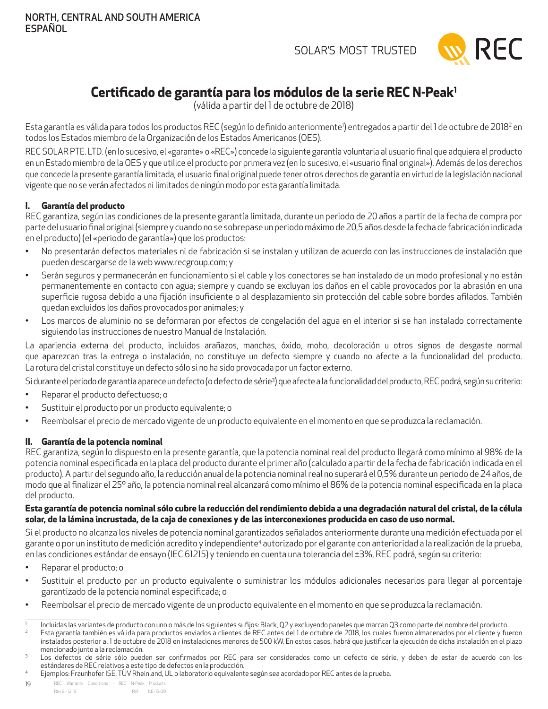

### <span id="page-18-0"></span>**Certificado de garantía para los módulos de la serie REC N-Peak1**

(válida a partir del 1 de octubre de 2018)

Esta garantía es válida para todos los productos REC (según lo definido anteriormente<sup>)</sup>) entregados a partir del 1 de octubre de 2018<sup>2</sup> en todos los Estados miembro de la Organización de los Estados Americanos (OES).

REC SOLAR PTE. LTD. (en lo sucesivo, el «garante» o «REC») concede la siguiente garantía voluntaria al usuario final que adquiera el producto en un Estado miembro de la OES y que utilice el producto por primera vez (en lo sucesivo, el «usuario final original»). Además de los derechos que concede la presente garantía limitada, el usuario final original puede tener otros derechos de garantía en virtud de la legislación nacional vigente que no se verán afectados ni limitados de ningún modo por esta garantía limitada.

### **I. Garantía del producto**

REC garantiza, según las condiciones de la presente garantía limitada, durante un periodo de 20 años a partir de la fecha de compra por parte del usuario final original (siempre y cuando no se sobrepase un periodo máximo de 20,5 años desde la fecha de fabricación indicada en el producto) (el «periodo de garantía») que los productos:

- • No presentarán defectos materiales ni de fabricación si se instalan y utilizan de acuerdo con las instrucciones de instalación que pueden descargarse de la web www.recgroup.com; y
- • Serán seguros y permanecerán en funcionamiento si el cable y los conectores se han instalado de un modo profesional y no están permanentemente en contacto con agua; siempre y cuando se excluyan los daños en el cable provocados por la abrasión en una superficie rugosa debido a una fijación insuficiente o al desplazamiento sin protección del cable sobre bordes afilados. También quedan excluidos los daños provocados por animales; y
- Los marcos de aluminio no se deformaran por efectos de congelación del agua en el interior si se han instalado correctamente siguiendo las instrucciones de nuestro Manual de Instalación.

La apariencia externa del producto, incluidos arañazos, manchas, óxido, moho, decoloración u otros signos de desgaste normal que aparezcan tras la entrega o instalación, no constituye un defecto siempre y cuando no afecte a la funcionalidad del producto. La rotura del cristal constituye un defecto sólo si no ha sido provocada por un factor externo.

Si durante el periodo de garantía aparece un defecto (o defecto de sérieª) que afecte a la funcionalidad del producto, REC podrá, según su criterio:

- • Reparar el producto defectuoso; o
- Sustituir el producto por un producto equivalente; o
- • Reembolsar el precio de mercado vigente de un producto equivalente en el momento en que se produzca la reclamación.

### **II. Garantía de la potencia nominal**

REC garantiza, según lo dispuesto en la presente garantía, que la potencia nominal real del producto llegará como mínimo al 98% de la potencia nominal especificada en la placa del producto durante el primer año (calculado a partir de la fecha de fabricación indicada en el producto). Apartir del segundo año, la reducción anual de la potencia nominal real no superará el 0,5% durante un periodo de 24 años, de modo que al finalizar el 25º año, la potencia nominal real alcanzará como mínimo el 86% de la potencia nominal especificada en la placa del producto.

### **Esta garantía de potencia nominal sólo cubre la reducción del rendimiento debida a una degradación natural del cristal, de la célula solar, de la lámina incrustada, de la caja de conexiones y de las interconexiones producida en caso de uso normal.**

Si el producto no alcanza los niveles de potencia nominal garantizados señalados anteriormente durante una medición efectuada por el garante o por un instituto de medición acredito y independiente<sup>4</sup> autorizado por el garante con anterioridad a la realización de la prueba, en las condiciones estándar de ensayo (IEC 61215) y teniendo en cuenta una tolerancia del ±3%, REC podrá, según su criterio:

- Reparar el producto; o
- • Sustituir el producto por un producto equivalente o suministrar los módulos adicionales necesarios para llegar al porcentaje garantizado de la potencia nominal especificada; o
- Reembolsar el precio de mercado vigente de un producto equivalente en el momento en que se produzca la reclamación.

4 Ejemplos: Fraunhofer ISE, TÜVRheinland, UL o laboratorio equivalente según sea acordado por REC antes de la prueba.

<sup>1</sup> Incluidas las variantes de producto con uno o más de los siguientes sufijos: Black, Q2 y excluyendo paneles que marcan Q3 como parte del nombre del producto.

 $\overline{2}$  Esta garantía también es válida para productos enviados a clientes de REC antes del 1 de octubre de 2018, los cuales fueron almacenados por el cliente y fueron instalados posterior al 1 de octubre de 2018 en instalaciones menores de 500 kW. En estos casos, habrá que justificar la ejecución de dicha instalación en el plazo mencionado junto a la reclamación. 3

Los defectos de série sólo pueden ser confirmados por REC para ser considerados como un defecto de série, y deben de estar de acuerdo con los estándares de REC relativos a este tipo de defectos en la producción.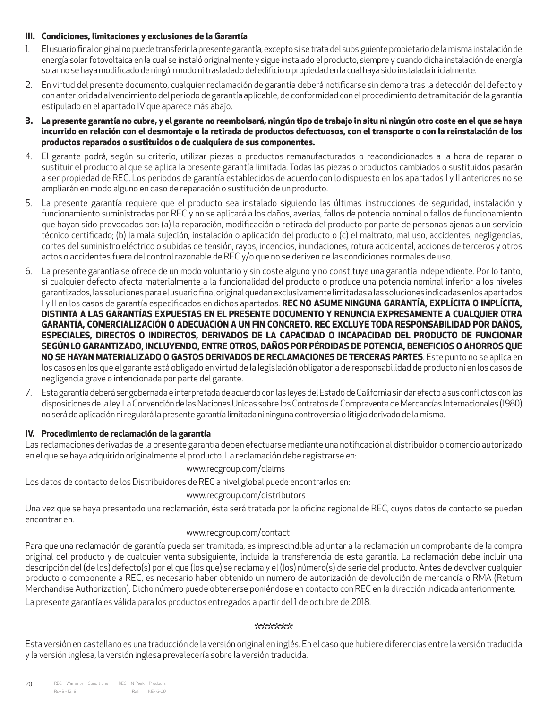### **III. Condiciones, limitaciones y exclusiones de la Garantía**

- 1. El usuario final original no puede transferir la presente garantía, excepto si se trata del subsiguiente propietario de la misma instalación de energía solar fotovoltaica en la cual se instaló originalmente y sigue instalado el producto, siempre y cuando dicha instalación de energía solar no se haya modificado de ningún modo ni trasladado del edificio o propiedad en la cual haya sido instalada inicialmente.
- 2. En virtud del presente documento, cualquier reclamación de garantía deberá notificarse sin demora tras la detección del defecto y con anterioridad al vencimiento del periodo de garantía aplicable, de conformidad con el procedimiento de tramitación de la garantía estipulado en el apartado IV que aparece más abajo.
- **3. La presente garantía no cubre, y el garante no reembolsará, ningún tipo de trabajo in situ ni ningún otro coste en el que se haya incurrido en relación con el desmontaje o la retirada de productos defectuosos, con el transporte o con la reinstalación de los productos reparados o sustituidos o de cualquiera de sus componentes.**
- 4. El garante podrá, según su criterio, utilizar piezas o productos remanufacturados o reacondicionados a la hora de reparar o sustituir el producto al que se aplica la presente garantía limitada. Todas las piezas o productos cambiados o sustituidos pasarán a ser propiedad de REC. Los periodos de garantía establecidos de acuerdo con lo dispuesto en los apartados I y II anteriores no se ampliarán en modo alguno en caso de reparación o sustitución de un producto.
- 5. La presente garantía requiere que el producto sea instalado siguiendo las últimas instrucciones de seguridad, instalación y funcionamiento suministradas por REC y no se aplicará a los daños, averías, fallos de potencia nominal o fallos de funcionamiento que hayan sido provocados por: (a) la reparación, modificación o retirada del producto por parte de personas ajenas a un servicio técnico certificado; (b) la mala sujeción, instalación o aplicación del producto o (c) el maltrato, mal uso, accidentes, negligencias, cortes del suministro eléctrico o subidas de tensión, rayos, incendios, inundaciones, rotura accidental, acciones de terceros y otros actos o accidentes fuera del control razonable de REC y/o que no se deriven de las condiciones normales de uso.
- 6. La presente garantía se ofrece de un modo voluntario y sin coste alguno y no constituye una garantía independiente. Por lo tanto, si cualquier defecto afecta materialmente a la funcionalidad del producto o produce una potencia nominal inferior a los niveles garantizados, las soluciones para el usuario final original quedan exclusivamente limitadas a las soluciones indicadas en los apartados I y II en los casos de garantía especificados en dichos apartados. **REC no asume ninguna garantía, explícita o implícita, distinta a las garantías expuestas en el presente documento y renuncia expresamente a cualquier otra garantía, comercialización o adecuación a un fin concreto. REC excluye toda responsabilidad por daños, especiales, directos o indirectos, derivados de la capacidad o incapacidad del producto de funcionar según lo garantizado, incluyendo, entre otros, daños por pérdidas de potencia, beneficios o ahorros que no se hayan materializado o gastos derivados de reclamaciones de terceras partes**. Este punto no se aplica en los casos en los que el garante está obligado en virtud de la legislación obligatoria de responsabilidad de producto ni en los casos de negligencia grave o intencionada por parte del garante.
- 7. Esta garantía deberá ser gobernada e interpretada de acuerdo con las leyes del Estado de California sin dar efecto a sus conflictos con las disposiciones de la ley. La Convención de las Naciones Unidas sobre los Contratos de Compraventa de Mercancías Internacionales (1980) no será de aplicación ni regulará la presente garantía limitada ni ninguna controversia o litigio derivado de la misma.

### **IV. Procedimiento de reclamación de la garantía**

Las reclamaciones derivadas de la presente garantía deben efectuarse mediante una notificación al distribuidor o comercio autorizado en el que se haya adquirido originalmente el producto. La reclamación debe registrarse en:

### www.recgroup.com/claims

Los datos de contacto de los Distribuidores de REC a nivel global puede encontrarlos en:

www.recgroup.com/distributors

Una vez que se haya presentado una reclamación, ésta será tratada por la oficina regional de REC, cuyos datos de contacto se pueden encontrar en:

### www.recgroup.com/contact

Para que una reclamación de garantía pueda ser tramitada, es imprescindible adjuntar a la reclamación un comprobante de la compra original del producto y de cualquier venta subsiguiente, incluida la transferencia de esta garantía. La reclamación debe incluir una descripción del (de los) defecto(s) por el que (los que) se reclama y el (los) número(s) de serie del producto. Antes de devolver cualquier producto o componente a REC, es necesario haber obtenido un número de autorización de devolución de mercancía o RMA (Return Merchandise Authorization). Dicho número puede obtenerse poniéndose en contacto con REC en la dirección indicada anteriormente.

La presente garantía es válida para los productos entregados a partir del 1 de octubre de 2018.

### \*\*\*\*\*\*

Esta versión en castellano es una traducción de la versión original en inglés. En el caso que hubiere diferencias entre la versión traducida y la versión inglesa, la versión inglesa prevalecería sobre la versión traducida.